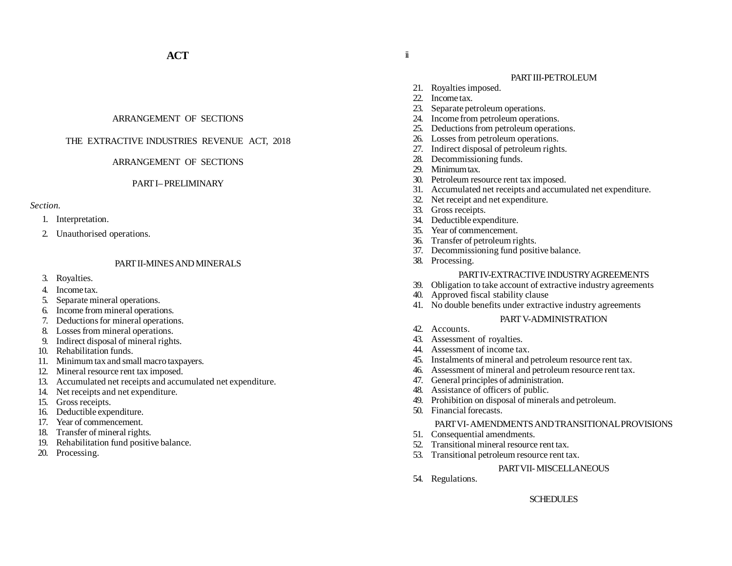# ARRANGEMENT OF SECTIONS

# THE EXTRACTIVE INDUSTRIES REVENUE ACT, 2018

# ARRANGEMENT OF SECTIONS

### PART I– PRELIMINARY

# *Section.*

- 1. Interpretation.
- 2. Unauthorised operations.

# PART II-MINES AND MINERALS

- 3. Royalties.
- 4. Income tax.
- 5. Separate mineral operations.
- 6. Income from mineral operations.
- 7. Deductions for mineral operations.
- 8. Losses from mineral operations.
- 9. Indirect disposal of mineral rights.
- 10. Rehabilitation funds.
- 11. Minimum tax and small macro taxpayers.
- 12. Mineral resource rent tax imposed.
- 13. Accumulated net receipts and accumulated net expenditure.
- 14. Net receipts and net expenditure.
- 15. Gross receipts.
- 16. Deductible expenditure.
- 17. Year of commencement.
- 18. Transfer of mineral rights.
- 19. Rehabilitation fund positive balance.
- 20. Processing.

# PART III-PETROLEUM

- 21. Royalties imposed.
- 22. Income tax.
- 23. Separate petroleum operations.
- Income from petroleum operations.
- 25. Deductions from petroleum operations.
- 26. Losses from petroleum operations.
- 27. Indirect disposal of petroleum rights.
- 28. Decommissioning funds.
- 29. Minimum tax.
- 30. Petroleum resource rent tax imposed.
- 31. Accumulated net receipts and accumulated net expenditure.
- 32. Net receipt and net expenditure.
- 33. Gross receipts.
- 34. Deductible expenditure.
- 35. Year of commencement.
- 36. Transfer of petroleum rights.
- 37. Decommissioning fund positive balance.
- 38. Processing.

# PART IV-EXTRACTIVE INDUSTRY AGREEMENTS

- 39. Obligation to take account of extractive industry agreements
- 40. Approved fiscal stability clause
- 41. No double benefits under extractive industry agreements

# PART V-ADMINISTRATION

- 42. Accounts.
- 43. Assessment of royalties.
- 44. Assessment of income tax.
- 45. Instalments of mineral and petroleum resource rent tax.
- 46. Assessment of mineral and petroleum resource rent tax.
- 47. General principles of administration.
- Assistance of officers of public.
- 49. Prohibition on disposal of minerals and petroleum.
- 50. Financial forecasts.

# PART VI- AMENDMENTS AND TRANSITIONAL PROVISIONS

- 51. Consequential amendments.
- 52. Transitional mineral resource rent tax.
- 53. Transitional petroleum resource rent tax.

### PART VII- MISCELLANEOUS

54. Regulations.

# **SCHEDULES**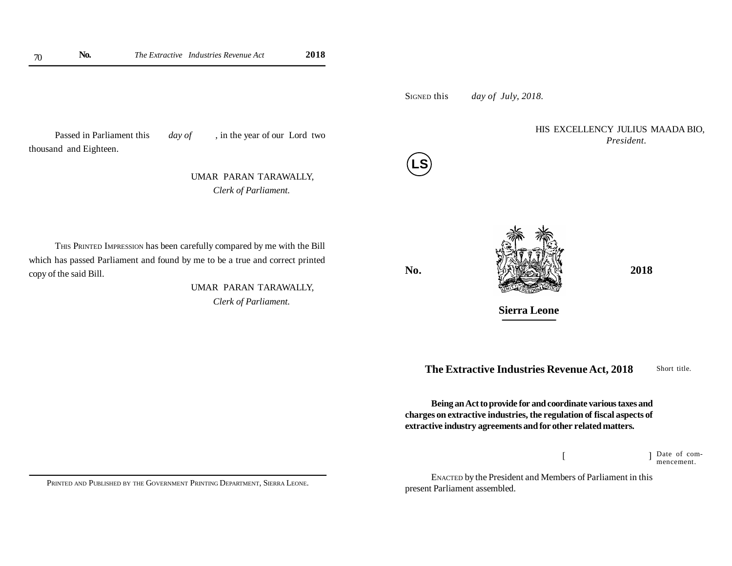SIGNED this *day of July, 2018.*

Passed in Parliament this *day of*, in the year of our Lord two thousand and Eighteen.

> UMAR PARAN TARAWALLY, *Clerk of Parliament.*



HIS EXCELLENCY JULIUS MAADA BIO, *President.*



 UMAR PARAN TARAWALLY, *Clerk of Parliament.*



**Sierra Leone**

**The Extractive Industries Revenue Act, 2018**

Short title.

**Being an Act to provide for and coordinate various taxes and charges on extractive industries, the regulation of fiscal aspects of extractive industry agreements and for other related matters.**

> $[$   $]$ Date of commencement.

ENACTED by the President and Members of Parliament in this present Parliament assembled.

PRINTED AND PUBLISHED BY THE GOVERNMENT PRINTING DEPARTMENT, SIERRA LEONE.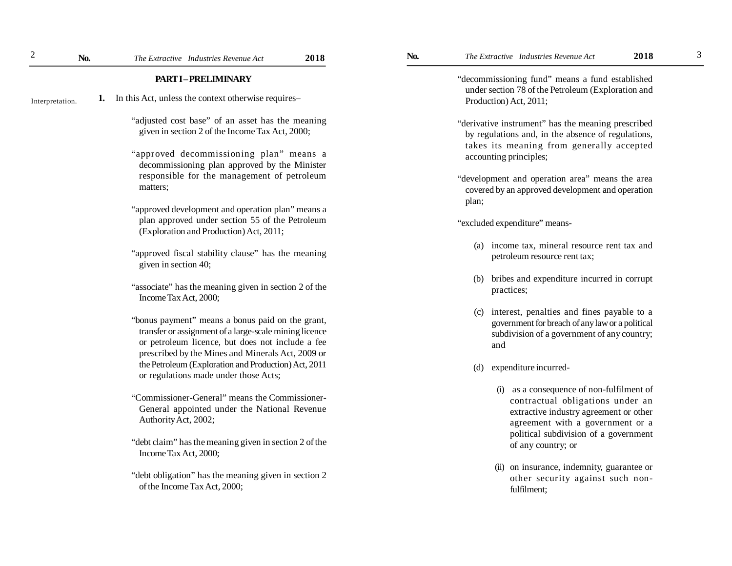3

### **PART I – PRELIMINARY**

- **1.** In this Act, unless the context otherwise requires– Interpretation.
	- "adjusted cost base" of an asset has the meaning given in section 2 of the Income Tax Act, 2000;
	- "approved decommissioning plan" means a decommissioning plan approved by the Minister responsible for the management of petroleum matters;
	- "approved development and operation plan" means a plan approved under section 55 of the Petroleum (Exploration and Production) Act, 2011;
	- "approved fiscal stability clause" has the meaning given in section 40;
	- "associate" has the meaning given in section 2 of the Income Tax Act, 2000;
	- "bonus payment" means a bonus paid on the grant, transfer or assignment of a large-scale mining licence or petroleum licence, but does not include a fee prescribed by the Mines and Minerals Act, 2009 or the Petroleum (Exploration and Production) Act, 2011 or regulations made under those Acts;
	- "Commissioner-General" means the Commissioner-General appointed under the National Revenue Authority Act, 2002;
	- "debt claim" has the meaning given in section 2 of the Income Tax Act, 2000;
	- "debt obligation" has the meaning given in section 2 of the Income Tax Act, 2000;

"decommissioning fund" means a fund established under section 78 of the Petroleum (Exploration and Production) Act, 2011;

- "derivative instrument" has the meaning prescribed by regulations and, in the absence of regulations, takes its meaning from generally accepted accounting principles;
- "development and operation area" means the area covered by an approved development and operation plan;

"excluded expenditure" means-

- (a) income tax, mineral resource rent tax and petroleum resource rent tax;
- (b) bribes and expenditure incurred in corrupt practices;
- (c) interest, penalties and fines payable to a government for breach of any law or a political subdivision of a government of any country; and
- (d) expenditure incurred-
	- (i) as a consequence of non-fulfilment of contractual obligations under an extractive industry agreement or other agreement with a government or a political subdivision of a government of any country; or
	- (ii) on insurance, indemnity, guarantee or other security against such nonfulfilment;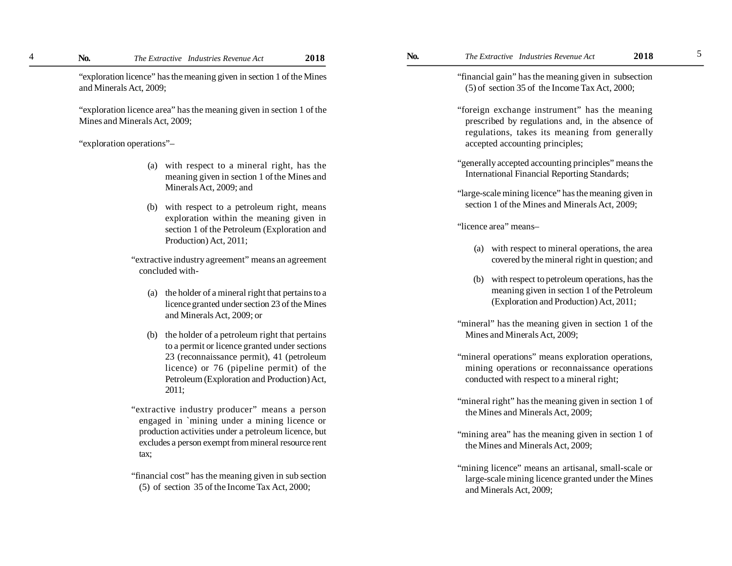"exploration licence" has the meaning given in section 1 of the Mines and Minerals Act, 2009;

"exploration licence area" has the meaning given in section 1 of the Mines and Minerals Act, 2009;

# "exploration operations"–

4

- (a) with respect to a mineral right, has the meaning given in section 1 of the Mines and Minerals Act, 2009; and
- (b) with respect to a petroleum right, means exploration within the meaning given in section 1 of the Petroleum (Exploration and Production) Act, 2011;

"extractive industry agreement" means an agreement concluded with-

- (a) the holder of a mineral right that pertains to a licence granted under section 23 of the Mines and Minerals Act, 2009; or
- (b) the holder of a petroleum right that pertains to a permit or licence granted under sections 23 (reconnaissance permit), 41 (petroleum licence) or 76 (pipeline permit) of the Petroleum (Exploration and Production) Act, 2011;
- "extractive industry producer" means a person engaged in `mining under a mining licence or production activities under a petroleum licence, but excludes a person exempt from mineral resource rent tax;
- "financial cost" has the meaning given in sub section (5) of section 35 of the Income Tax Act, 2000;

"financial gain" has the meaning given in subsection (5) of section 35 of the Income Tax Act, 2000;

- "foreign exchange instrument" has the meaning prescribed by regulations and, in the absence of regulations, takes its meaning from generally accepted accounting principles;
- "generally accepted accounting principles" means the International Financial Reporting Standards;
- "large-scale mining licence" has the meaning given in section 1 of the Mines and Minerals Act, 2009;

"licence area" means–

- (a) with respect to mineral operations, the area covered by the mineral right in question; and
- (b) with respect to petroleum operations, has the meaning given in section 1 of the Petroleum (Exploration and Production) Act, 2011;
- "mineral" has the meaning given in section 1 of the Mines and Minerals Act, 2009;
- "mineral operations" means exploration operations, mining operations or reconnaissance operations conducted with respect to a mineral right;
- "mineral right" has the meaning given in section 1 of the Mines and Minerals Act, 2009;
- "mining area" has the meaning given in section 1 of the Mines and Minerals Act, 2009;
- "mining licence" means an artisanal, small-scale or large-scale mining licence granted under the Mines and Minerals Act, 2009;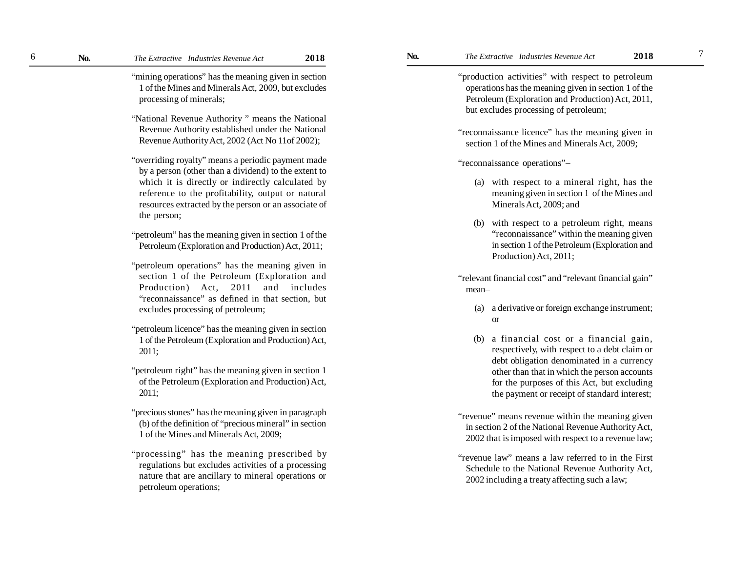"mining operations" has the meaning given in section 1 of the Mines and Minerals Act, 2009, but excludes processing of minerals;

- "National Revenue Authority " means the National Revenue Authority established under the National Revenue Authority Act, 2002 (Act No 11of 2002);
- "overriding royalty" means a periodic payment made by a person (other than a dividend) to the extent to which it is directly or indirectly calculated by reference to the profitability, output or natural resources extracted by the person or an associate of the person;
- "petroleum" has the meaning given in section 1 of the Petroleum (Exploration and Production) Act, 2011;
- "petroleum operations" has the meaning given in section 1 of the Petroleum (Exploration and Production) Act, 2011 and includes "reconnaissance" as defined in that section, but excludes processing of petroleum;
- "petroleum licence" has the meaning given in section 1 of the Petroleum (Exploration and Production) Act, 2011;
- "petroleum right" has the meaning given in section 1 of the Petroleum (Exploration and Production) Act, 2011;
- "precious stones" has the meaning given in paragraph (b) of the definition of "precious mineral" in section 1 of the Mines and Minerals Act, 2009;
- "processing" has the meaning prescribed by regulations but excludes activities of a processing nature that are ancillary to mineral operations or petroleum operations;

"production activities" with respect to petroleum operations has the meaning given in section 1 of the Petroleum (Exploration and Production) Act, 2011, but excludes processing of petroleum;

"reconnaissance licence" has the meaning given in section 1 of the Mines and Minerals Act, 2009;

"reconnaissance operations"–

- (a) with respect to a mineral right, has the meaning given in section 1 of the Mines and Minerals Act, 2009; and
- (b) with respect to a petroleum right, means "reconnaissance" within the meaning given in section 1 of the Petroleum (Exploration and Production) Act, 2011;
- "relevant financial cost" and "relevant financial gain" mean–
	- (a) a derivative or foreign exchange instrument; or
	- (b) a financial cost or a financial gain, respectively, with respect to a debt claim or debt obligation denominated in a currency other than that in which the person accounts for the purposes of this Act, but excluding the payment or receipt of standard interest;
- "revenue" means revenue within the meaning given in section 2 of the National Revenue Authority Act, 2002 that is imposed with respect to a revenue law;
- "revenue law" means a law referred to in the First Schedule to the National Revenue Authority Act, 2002 including a treaty affecting such a law;

7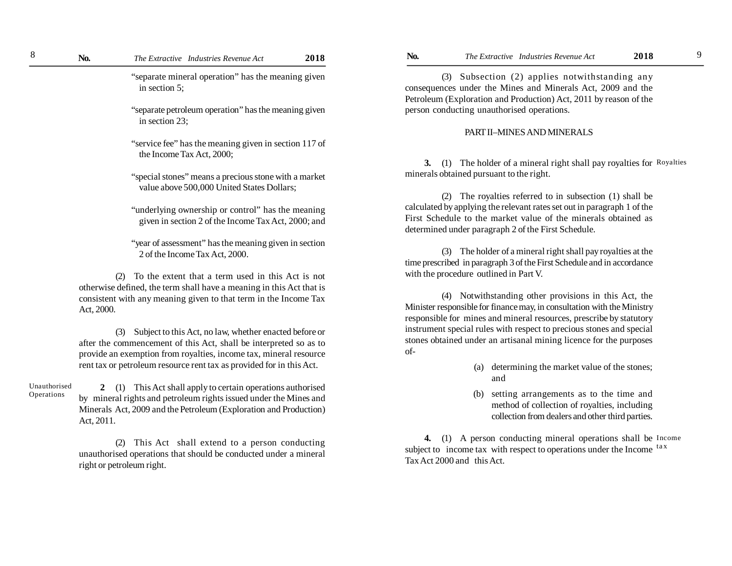"separate mineral operation" has the meaning given in section 5;

"separate petroleum operation" has the meaning given in section 23;

"service fee" has the meaning given in section 117 of the Income Tax Act, 2000;

"special stones" means a precious stone with a market value above 500,000 United States Dollars;

"underlying ownership or control" has the meaning given in section 2 of the Income Tax Act, 2000; and

"year of assessment" has the meaning given in section 2 of the Income Tax Act, 2000.

(2) To the extent that a term used in this Act is not otherwise defined, the term shall have a meaning in this Act that is consistent with any meaning given to that term in the Income Tax Act, 2000.

(3) Subject to this Act, no law, whether enacted before or after the commencement of this Act, shall be interpreted so as to provide an exemption from royalties, income tax, mineral resource rent tax or petroleum resource rent tax as provided for in this Act.

Unauthorised Operations

**2** (1) This Act shall apply to certain operations authorised by mineral rights and petroleum rights issued under the Mines and Minerals Act, 2009 and the Petroleum (Exploration and Production) Act, 2011.

(2) This Act shall extend to a person conducting unauthorised operations that should be conducted under a mineral right or petroleum right.

(3) Subsection (2) applies notwithstanding any consequences under the Mines and Minerals Act, 2009 and the Petroleum (Exploration and Production) Act, 2011 by reason of the person conducting unauthorised operations.

### PART II–MINES AND MINERALS

**3.** (1) The holder of a mineral right shall pay royalties for Royalties minerals obtained pursuant to the right.

(2) The royalties referred to in subsection (1) shall be calculated by applying the relevant rates set out in paragraph 1 of the First Schedule to the market value of the minerals obtained as determined under paragraph 2 of the First Schedule.

(3) The holder of a mineral right shall pay royalties at the time prescribed in paragraph 3 of the First Schedule and in accordance with the procedure outlined in Part V.

(4) Notwithstanding other provisions in this Act, the Minister responsible for finance may, in consultation with the Ministry responsible for mines and mineral resources, prescribe by statutory instrument special rules with respect to precious stones and special stones obtained under an artisanal mining licence for the purposes of-

- (a) determining the market value of the stones; and
- (b) setting arrangements as to the time and method of collection of royalties, including collection from dealers and other third parties.

**4.** (1) A person conducting mineral operations shall be Income subject to income tax with respect to operations under the Income <sup>tax</sup> Tax Act 2000 and this Act.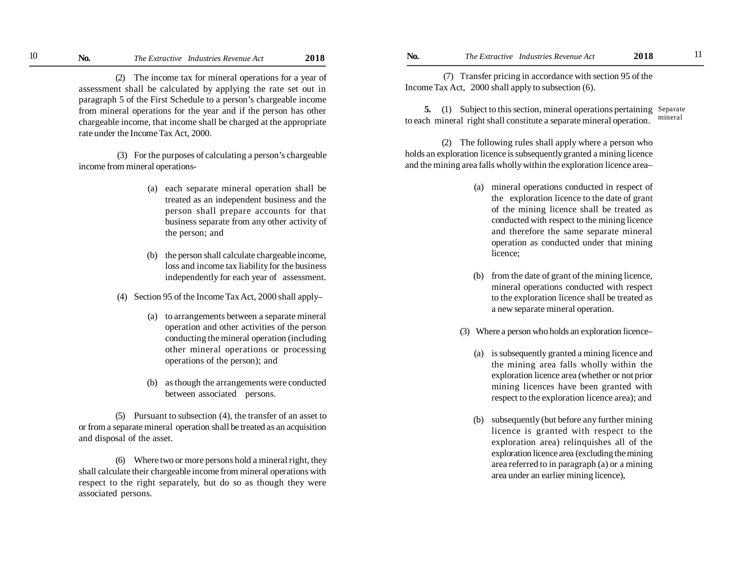(2) The income tax for mineral operations for a year of assessment shall be calculated by applying the rate set out in paragraph 5 of the First Schedule to a person's chargeable income from mineral operations for the year and if the person has other chargeable income, that income shall be charged at the appropriate rate under the Income Tax Act, 2000.

 (3) For the purposes of calculating a person's chargeable income from mineral operations-

- (a) each separate mineral operation shall be treated as an independent business and the person shall prepare accounts for that business separate from any other activity of the person; and
- (b) the person shall calculate chargeable income, loss and income tax liability for the business independently for each year of assessment.
- (4) Section 95 of the Income Tax Act, 2000 shall apply–
	- (a) to arrangements between a separate mineral operation and other activities of the person conducting the mineral operation (including other mineral operations or processing operations of the person); and
	- (b) as though the arrangements were conducted between associated persons.

(5) Pursuant to subsection (4), the transfer of an asset to or from a separate mineral operation shall be treated as an acquisition and disposal of the asset.

(6) Where two or more persons hold a mineral right, they shall calculate their chargeable income from mineral operations with respect to the right separately, but do so as though they were associated persons.

 (7) Transfer pricing in accordance with section 95 of the Income Tax Act, 2000 shall apply to subsection (6).

**5.** (1) Subject to this section, mineral operations pertaining Separate to each mineral right shall constitute a separate mineral operation. mineral

(2) The following rules shall apply where a person who holds an exploration licence is subsequently granted a mining licence and the mining area falls wholly within the exploration licence area–

- (a) mineral operations conducted in respect of the exploration licence to the date of grant of the mining licence shall be treated as conducted with respect to the mining licence and therefore the same separate mineral operation as conducted under that mining licence;
- (b) from the date of grant of the mining licence, mineral operations conducted with respect to the exploration licence shall be treated as a new separate mineral operation.
- (3) Where a person who holds an exploration licence–
	- (a) is subsequently granted a mining licence and the mining area falls wholly within the exploration licence area (whether or not prior mining licences have been granted with respect to the exploration licence area); and
	- (b) subsequently (but before any further mining licence is granted with respect to the exploration area) relinquishes all of the exploration licence area (excluding the mining area referred to in paragraph (a) or a mining area under an earlier mining licence),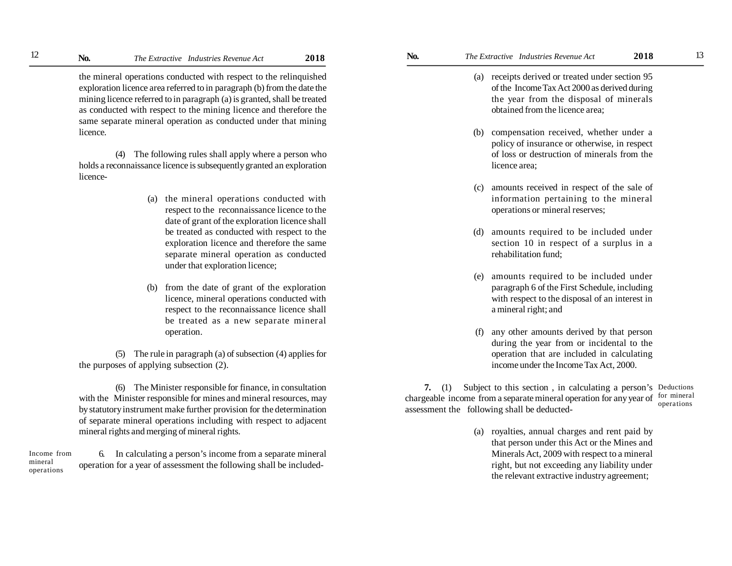the mineral operations conducted with respect to the relinquished exploration licence area referred to in paragraph (b) from the date the mining licence referred to in paragraph (a) is granted, shall be treated as conducted with respect to the mining licence and therefore the same separate mineral operation as conducted under that mining licence.

(4) The following rules shall apply where a person who holds a reconnaissance licence is subsequently granted an exploration licence-

- (a) the mineral operations conducted with respect to the reconnaissance licence to the date of grant of the exploration licence shall be treated as conducted with respect to the exploration licence and therefore the same separate mineral operation as conducted under that exploration licence;
- (b) from the date of grant of the exploration licence, mineral operations conducted with respect to the reconnaissance licence shall be treated as a new separate mineral operation.

(5) The rule in paragraph (a) of subsection (4) applies for the purposes of applying subsection (2).

(6) The Minister responsible for finance, in consultation with the Minister responsible for mines and mineral resources, may by statutory instrument make further provision for the determination of separate mineral operations including with respect to adjacent mineral rights and merging of mineral rights.

6. In calculating a person's income from a separate mineral operation for a year of assessment the following shall be included- Income from mineral operations

- (a) receipts derived or treated under section 95 of the Income Tax Act 2000 as derived during the year from the disposal of minerals obtained from the licence area;
- (b) compensation received, whether under a policy of insurance or otherwise, in respect of loss or destruction of minerals from the licence area;
- (c) amounts received in respect of the sale of information pertaining to the mineral operations or mineral reserves;
- (d) amounts required to be included under section 10 in respect of a surplus in a rehabilitation fund;
- (e) amounts required to be included under paragraph 6 of the First Schedule, including with respect to the disposal of an interest in a mineral right; and
- (f) any other amounts derived by that person during the year from or incidental to the operation that are included in calculating income under the Income Tax Act, 2000.

**7.** (1) Subject to this section , in calculating a person's Deductions chargeable income from a separate mineral operation for any year of for mineral assessment the following shall be deducted operations

> (a) royalties, annual charges and rent paid by that person under this Act or the Mines and Minerals Act, 2009 with respect to a mineral right, but not exceeding any liability under the relevant extractive industry agreement;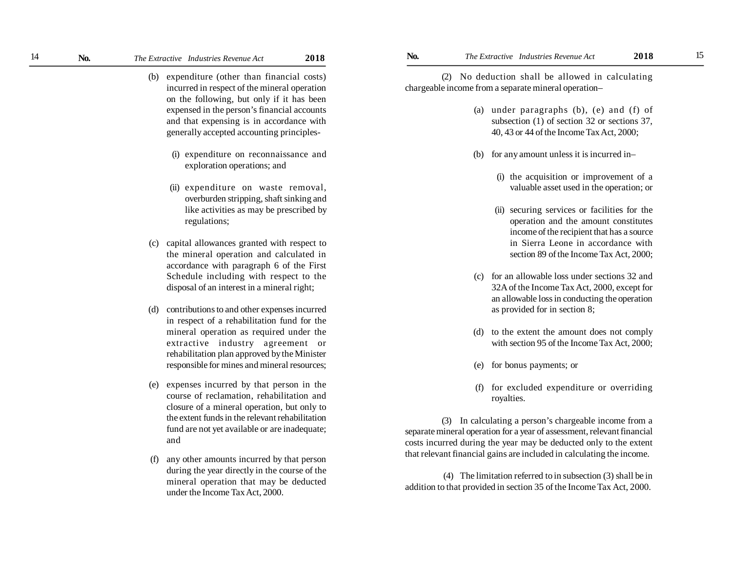- (b) expenditure (other than financial costs) incurred in respect of the mineral operation on the following, but only if it has been expensed in the person's financial accounts and that expensing is in accordance with generally accepted accounting principles-
	- (i) expenditure on reconnaissance and exploration operations; and
	- (ii) expenditure on waste removal, overburden stripping, shaft sinking and like activities as may be prescribed by regulations;
- (c) capital allowances granted with respect to the mineral operation and calculated in accordance with paragraph 6 of the First Schedule including with respect to the disposal of an interest in a mineral right;
- (d) contributions to and other expenses incurred in respect of a rehabilitation fund for the mineral operation as required under the extractive industry agreement or rehabilitation plan approved by the Minister responsible for mines and mineral resources;
- (e) expenses incurred by that person in the course of reclamation, rehabilitation and closure of a mineral operation, but only to the extent funds in the relevant rehabilitation fund are not yet available or are inadequate; and
- (f) any other amounts incurred by that person during the year directly in the course of the mineral operation that may be deducted under the Income Tax Act, 2000.

(2) No deduction shall be allowed in calculating chargeable income from a separate mineral operation–

- (a) under paragraphs (b), (e) and (f) of subsection (1) of section 32 or sections 37, 40, 43 or 44 of the Income Tax Act, 2000;
- (b) for any amount unless it is incurred in–
	- (i) the acquisition or improvement of a valuable asset used in the operation; or
	- (ii) securing services or facilities for the operation and the amount constitutes income of the recipient that has a source in Sierra Leone in accordance with section 89 of the Income Tax Act, 2000;
- (c) for an allowable loss under sections 32 and 32A of the Income Tax Act, 2000, except for an allowable loss in conducting the operation as provided for in section 8;
- (d) to the extent the amount does not comply with section 95 of the Income Tax Act, 2000;
- (e) for bonus payments; or
- (f) for excluded expenditure or overriding royalties.

(3) In calculating a person's chargeable income from a separate mineral operation for a year of assessment, relevant financial costs incurred during the year may be deducted only to the extent that relevant financial gains are included in calculating the income.

 (4) The limitation referred to in subsection (3) shall be in addition to that provided in section 35 of the Income Tax Act, 2000.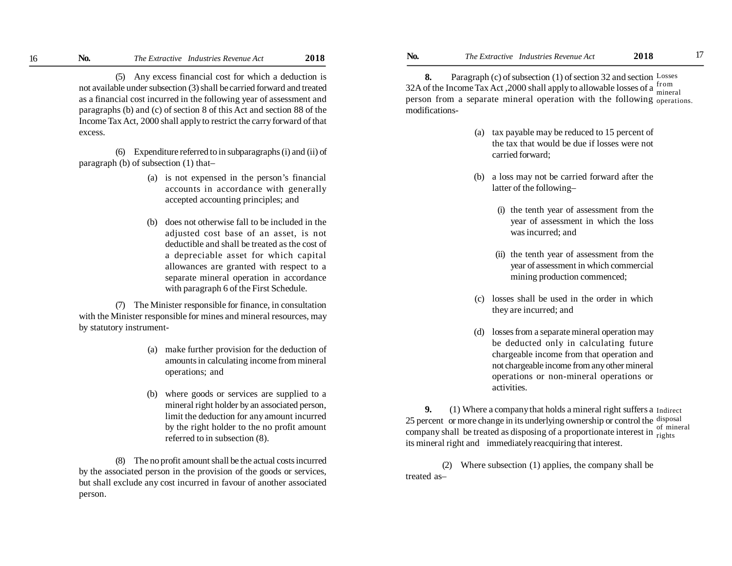(5) Any excess financial cost for which a deduction is not available under subsection (3) shall be carried forward and treated as a financial cost incurred in the following year of assessment and paragraphs (b) and (c) of section 8 of this Act and section 88 of the Income Tax Act, 2000 shall apply to restrict the carry forward of that excess.

(6) Expenditure referred to in subparagraphs (i) and (ii) of paragraph (b) of subsection (1) that–

- (a) is not expensed in the person's financial accounts in accordance with generally accepted accounting principles; and
- (b) does not otherwise fall to be included in the adjusted cost base of an asset, is not deductible and shall be treated as the cost of a depreciable asset for which capital allowances are granted with respect to a separate mineral operation in accordance with paragraph 6 of the First Schedule.

(7) The Minister responsible for finance, in consultation with the Minister responsible for mines and mineral resources, may by statutory instrument-

- (a) make further provision for the deduction of amounts in calculating income from mineral operations; and
- (b) where goods or services are supplied to a mineral right holder by an associated person, limit the deduction for any amount incurred by the right holder to the no profit amount referred to in subsection (8).

(8) The no profit amount shall be the actual costs incurred by the associated person in the provision of the goods or services, but shall exclude any cost incurred in favour of another associated person.

**8.** Paragraph (c) of subsection (1) of section 32 and section Losses 32A of the Income Tax Act, 2000 shall apply to allowable losses of a  $\frac{\text{from}}{\text{mine}}$ person from a separate mineral operation with the following operations. modifications mineral

- (a) tax payable may be reduced to 15 percent of the tax that would be due if losses were not carried forward;
- (b) a loss may not be carried forward after the latter of the following–
	- (i) the tenth year of assessment from the year of assessment in which the loss was incurred; and
	- (ii) the tenth year of assessment from the year of assessment in which commercial mining production commenced;
- (c) losses shall be used in the order in which they are incurred; and
- (d) losses from a separate mineral operation may be deducted only in calculating future chargeable income from that operation and not chargeable income from any other mineral operations or non-mineral operations or activities.

**9.** (1) Where a company that holds a mineral right suffers a Indirect 25 percentor more change in its underlying ownership or control the disposal company shall be treated as disposing of a proportionate interest in  $\frac{d}{d}$ its mineral right and immediately reacquiring that interest. of mineral

(2) Where subsection (1) applies, the company shall be treated as–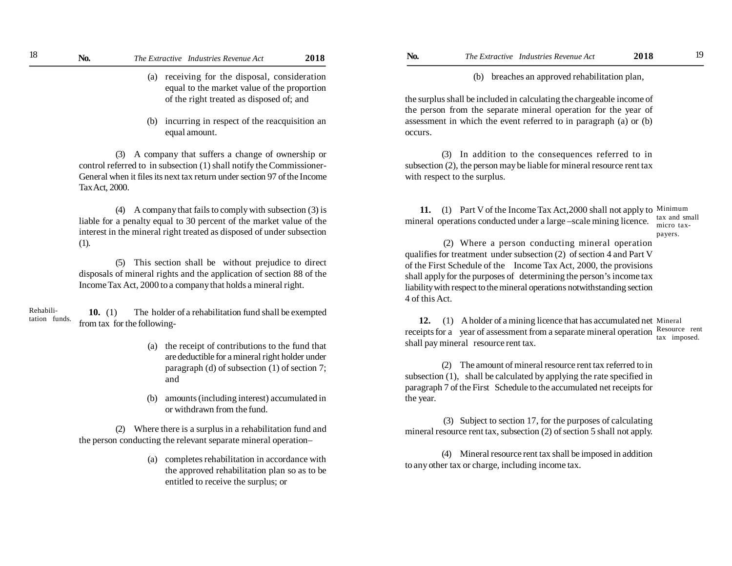- (a) receiving for the disposal, consideration equal to the market value of the proportion of the right treated as disposed of; and
- (b) incurring in respect of the reacquisition an equal amount.

(3) A company that suffers a change of ownership or control referred to in subsection (1) shall notify the Commissioner-General when it files its next tax return under section 97 of the Income Tax Act, 2000.

(4) A company that fails to comply with subsection (3) is liable for a penalty equal to 30 percent of the market value of the interest in the mineral right treated as disposed of under subsection (1).

(5) This section shall be without prejudice to direct disposals of mineral rights and the application of section 88 of the Income Tax Act, 2000 to a company that holds a mineral right.

 **10.** (1) The holder of a rehabilitation fund shall be exempted from taxfor the following- Rehabilitation funds.

- (a) the receipt of contributions to the fund that are deductible for a mineral right holder under paragraph (d) of subsection (1) of section 7; and
- (b) amounts (including interest) accumulated in or withdrawn from the fund.

(2) Where there is a surplus in a rehabilitation fund and the person conducting the relevant separate mineral operation–

> (a) completes rehabilitation in accordance with the approved rehabilitation plan so as to be entitled to receive the surplus; or

(b) breaches an approved rehabilitation plan,

the surplus shall be included in calculating the chargeable income of the person from the separate mineral operation for the year of assessment in which the event referred to in paragraph (a) or (b) occurs.

(3) In addition to the consequences referred to in subsection (2), the person may be liable for mineral resource rent tax with respect to the surplus.

11. (1) Part V of the Income Tax Act, 2000 shall not apply to Minimum mineral operations conducted under a large –scale mining licence. tax and small micro tax-

payers.

 (2) Where a person conducting mineral operation qualifies for treatment under subsection (2) of section 4 and Part V of the First Schedule of the Income Tax Act, 2000, the provisions shall apply for the purposes of determining the person's income tax liability with respect to the mineral operations notwithstanding section 4 of this Act.

12. (1) A holder of a mining licence that has accumulated net Mineral receipts for a year of assessment from a separate mineral operation Resource rent shall pay mineral resource rent tax. tax imposed.

(2) The amount of mineral resource rent tax referred to in subsection (1), shall be calculated by applying the rate specified in paragraph 7 of the First Schedule to the accumulated net receipts for the year.

 (3) Subject to section 17, for the purposes of calculating mineral resource rent tax, subsection (2) of section 5 shall not apply.

(4) Mineral resource rent tax shall be imposed in addition to any other tax or charge, including income tax.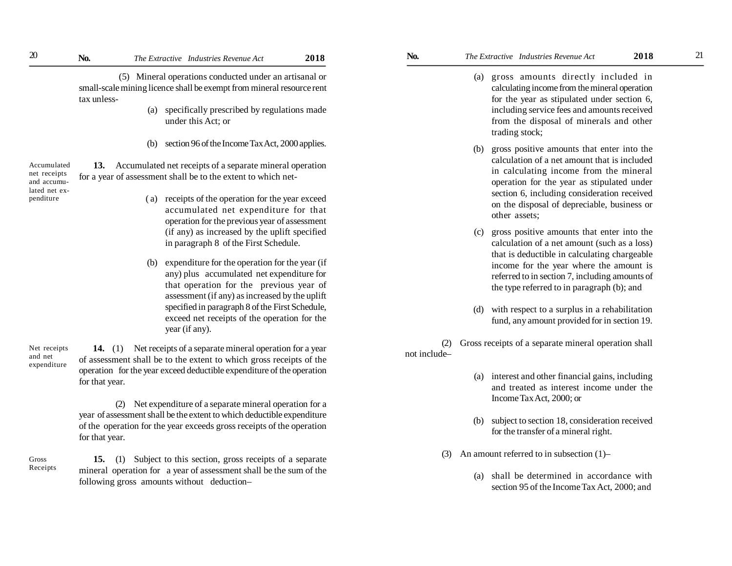(5) Mineral operations conducted under an artisanal or small-scale mining licence shall be exempt from mineral resource rent tax unless-

- (a) specifically prescribed by regulations made under this Act; or
- (b) section 96 of the Income Tax Act, 2000 applies.

**13.** Accumulated net receipts of a separate mineral operation for a year of assessment shall be to the extent to which net- Accumulated net receipts and accumulated net expenditure

- ( a) receipts of the operation for the year exceed accumulated net expenditure for that operation for the previous year of assessment (if any) as increased by the uplift specified in paragraph 8of the First Schedule.
- (b) expenditure for the operation for the year (if any) plus accumulated net expenditure for that operation for the previous year of assessment (if any) as increased by the uplift specified in paragraph 8 of the First Schedule, exceed net receipts of the operation for the year (if any).

 **14.** (1) Net receipts of a separate mineral operation for a year of assessment shall be to the extent to which gross receipts of the operation for the year exceed deductible expenditure of the operation for that year. Net receipts expenditure

and net

Gross Receipts

(2) Net expenditure of a separate mineral operation for a year of assessment shall be the extent to which deductible expenditure of the operation for the year exceeds gross receipts of the operation for that year.

 **15.** (1) Subject to this section, gross receipts of a separate mineral operation for a year of assessment shall be the sum of the following gross amounts without deduction–

- (a) gross amounts directly included in calculating income from the mineral operation for the year as stipulated under section 6, including service fees and amounts received from the disposal of minerals and other trading stock;
- (b) gross positive amounts that enter into the calculation of a net amount that is included in calculating income from the mineral operation for the year as stipulated under section 6, including consideration received on the disposal of depreciable, business or other assets;
- (c) gross positive amounts that enter into the calculation of a net amount (such as a loss) that is deductible in calculating chargeable income for the year where the amount is referred to in section 7, including amounts of the type referred to in paragraph (b); and
- (d) with respect to a surplus in a rehabilitation fund, any amount provided for in section 19.

(2) Gross receipts of a separate mineral operation shall not include–

- (a) interest and other financial gains, including and treated as interest income under the Income Tax Act, 2000; or
- (b) subject to section 18, consideration received for the transfer of a mineral right.
- (3) An amount referred to in subsection (1)–
	- (a) shall be determined in accordance with section 95 of the Income Tax Act, 2000; and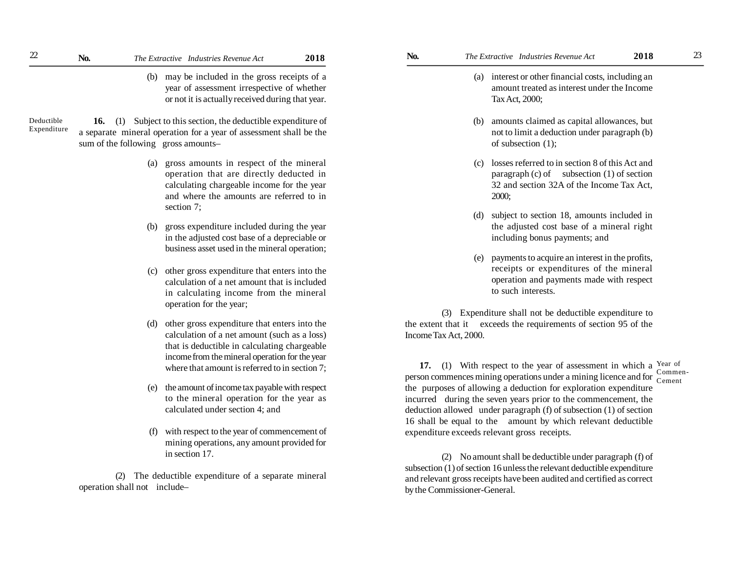(b) may be included in the gross receipts of a year of assessment irrespective of whether or not it is actually received during that year.

**16.** (1) Subject to this section, the deductible expenditure of a separate mineral operation for a year of assessment shall be the sum of the following gross amounts– Deductible Expenditure

- (a) gross amounts in respect of the mineral operation that are directly deducted in calculating chargeable income for the year and where the amounts are referred to in section 7;
- (b) gross expenditure included during the year in the adjusted cost base of a depreciable or business asset used in the mineral operation;
- other gross expenditure that enters into the calculation of a net amount that is included in calculating income from the mineral operation for the year;
- (d) other gross expenditure that enters into the calculation of a net amount (such as a loss) that is deductible in calculating chargeable income from the mineral operation for the year where that amount is referred to in section 7;
- (e) the amount of income tax payable with respect to the mineral operation for the year as calculated under section 4; and
- with respect to the year of commencement of mining operations, any amount provided for in section 17.

(2) The deductible expenditure of a separate mineral operation shall not include–

- (a) interest or other financial costs, including an amount treated as interest under the Income Tax Act, 2000;
- (b) amounts claimed as capital allowances, but not to limit a deduction under paragraph (b) of subsection (1);
- (c) losses referred to in section 8 of this Act and paragraph  $(c)$  of subsection  $(1)$  of section 32 and section 32A of the Income Tax Act, 2000;
- (d) subject to section 18, amounts included in the adjusted cost base of a mineral right including bonus payments; and
- (e) payments to acquire an interest in the profits, receipts or expenditures of the mineral operation and payments made with respect to such interests.

(3) Expenditure shall not be deductible expenditure to the extent that it exceeds the requirements of section 95 of the Income Tax Act, 2000.

**17.** (1) With respect to the year of assessment in which a  $\frac{Year}{6}$  of person commences mining operations under a mining licence and for Cement the purposes of allowing a deduction for exploration expenditure incurred during the seven years prior to the commencement, the deduction allowed under paragraph (f) of subsection (1) of section 16 shall be equal to the amount by which relevant deductible expenditure exceeds relevant gross receipts. Commen-

(2) No amount shall be deductible under paragraph (f) of subsection (1) of section 16 unless the relevant deductible expenditure and relevant gross receipts have been audited and certified as correct by the Commissioner-General.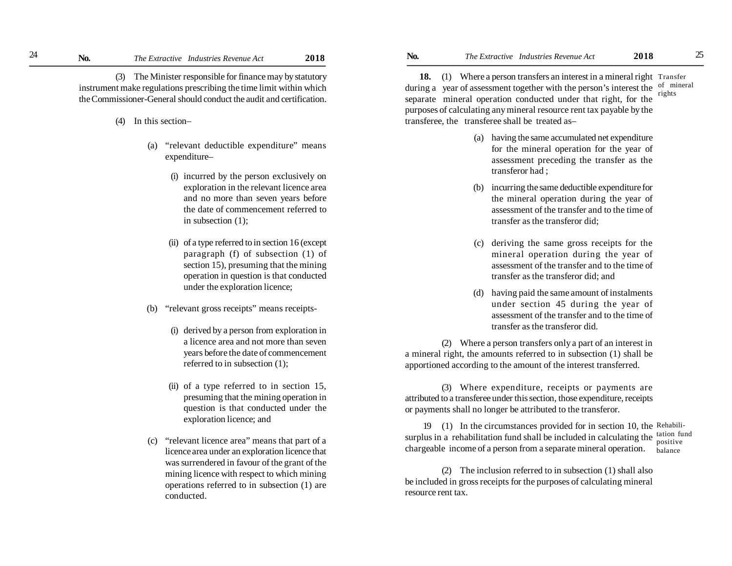(3) The Minister responsible for finance may by statutory instrument make regulations prescribing the time limit within which the Commissioner-General should conduct the audit and certification.

- (4) In this section–
	- (a) "relevant deductible expenditure" means expenditure–
		- (i) incurred by the person exclusively on exploration in the relevant licence area and no more than seven years before the date of commencement referred to in subsection (1);
		- (ii) of a type referred to in section 16 (except paragraph (f) of subsection (1) of section 15), presuming that the mining operation in question is that conducted under the exploration licence;
	- (b) "relevant gross receipts" means receipts-
		- (i) derived by a person from exploration in a licence area and not more than seven years before the date of commencement referred to in subsection (1);
		- (ii) of a type referred to in section 15, presuming that the mining operation in question is that conducted under the exploration licence; and
	- (c) "relevant licence area" means that part of a licence area under an exploration licence that was surrendered in favour of the grant of the mining licence with respect to which mining operations referred to in subsection (1) are conducted.

18. (1) Where a person transfers an interest in a mineral right Transfer during a year of assessment together with the person's interest the  $\frac{of \text{ mineral}}{check}$ separate mineral operation conducted under that right, for the purposes of calculating any mineral resource rent tax payable by the transferee, the transferee shall be treated as– rights

- (a) having the same accumulated net expenditure for the mineral operation for the year of assessment preceding the transfer as the transferor had ;
- (b) incurring the same deductible expenditure for the mineral operation during the year of assessment of the transfer and to the time of transfer as the transferor did;
- (c) deriving the same gross receipts for the mineral operation during the year of assessment of the transfer and to the time of transfer as the transferor did; and
- (d) having paid the same amount of instalments under section 45 during the year of assessment of the transfer and to the time of transfer as the transferor did.

(2) Where a person transfers only a part of an interest in a mineral right, the amounts referred to in subsection (1) shall be apportioned according to the amount of the interest transferred.

(3) Where expenditure, receipts or payments are attributed to a transferee under this section, those expenditure, receipts or payments shall no longer be attributed to the transferor.

19 (1)In the circumstances provided for in section 10, the Rehabilisurplus in a rehabilitation fund shall be included in calculating the  $\frac{\text{tation fund}}{\text{positive}}$ chargeable income of a person from a separate mineral operation. positive balance

(2) The inclusion referred to in subsection (1) shall also be included in gross receipts for the purposes of calculating mineral resource rent tax.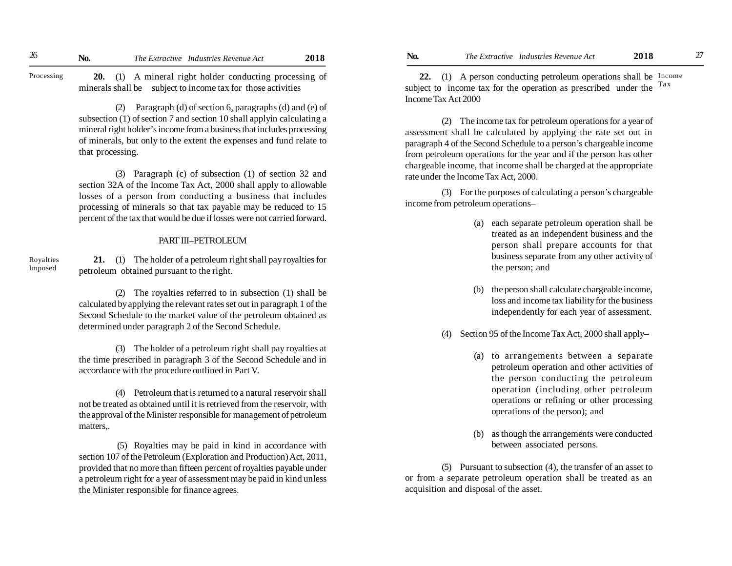Processing

**20.** (1) A mineral right holder conducting processing of minerals shall be subject to income tax for those activities

(2) Paragraph (d) of section 6, paragraphs (d) and (e) of subsection (1) of section 7 and section 10 shall applyin calculating a mineral right holder's income from a business that includes processing of minerals, but only to the extent the expenses and fund relate to that processing.

(3) Paragraph (c) of subsection (1) of section 32 and section 32A of the Income Tax Act, 2000 shall apply to allowable losses of a person from conducting a business that includes processing of minerals so that tax payable may be reduced to 15 percent of the tax that would be due if losses were not carried forward.

## PART III–PETROLEUM

Royalties Imposed

**21.** (1) The holder of a petroleum right shall pay royalties for petroleum obtained pursuant to the right.

(2) The royalties referred to in subsection (1) shall be calculated by applying the relevant rates set out in paragraph 1 of the Second Schedule to the market value of the petroleum obtained as determined under paragraph 2 of the Second Schedule.

(3) The holder of a petroleum right shall pay royalties at the time prescribed in paragraph 3 of the Second Schedule and in accordance with the procedure outlined in Part V.

(4) Petroleum that is returned to a natural reservoir shall not be treated as obtained until it is retrieved from the reservoir, with the approval of the Minister responsible for management of petroleum matters,.

 (5) Royalties may be paid in kind in accordance with section 107 of the Petroleum (Exploration and Production) Act, 2011, provided that no more than fifteen percent of royalties payable under a petroleum right for a year of assessment may be paid in kind unless the Minister responsible for finance agrees.

**22.** (1) A person conducting petroleum operations shall be Income subject to income tax for the operation as prescribed under the  $\frac{Tax}{}$ Income Tax Act 2000

(2) The income tax for petroleum operations for a year of assessment shall be calculated by applying the rate set out in paragraph 4 of the Second Schedule to a person's chargeable income from petroleum operations for the year and if the person has other chargeable income, that income shall be charged at the appropriate rate under the Income Tax Act, 2000.

(3) For the purposes of calculating a person's chargeable income from petroleum operations–

- (a) each separate petroleum operation shall be treated as an independent business and the person shall prepare accounts for that business separate from any other activity of the person; and
- (b) the person shall calculate chargeable income, loss and income tax liability for the business independently for each year of assessment.
- (4) Section 95 of the Income Tax Act, 2000 shall apply–
	- (a) to arrangements between a separate petroleum operation and other activities of the person conducting the petroleum operation (including other petroleum operations or refining or other processing operations of the person); and
	- (b) as though the arrangements were conducted between associated persons.

(5) Pursuant to subsection (4), the transfer of an asset to or from a separate petroleum operation shall be treated as an acquisition and disposal of the asset.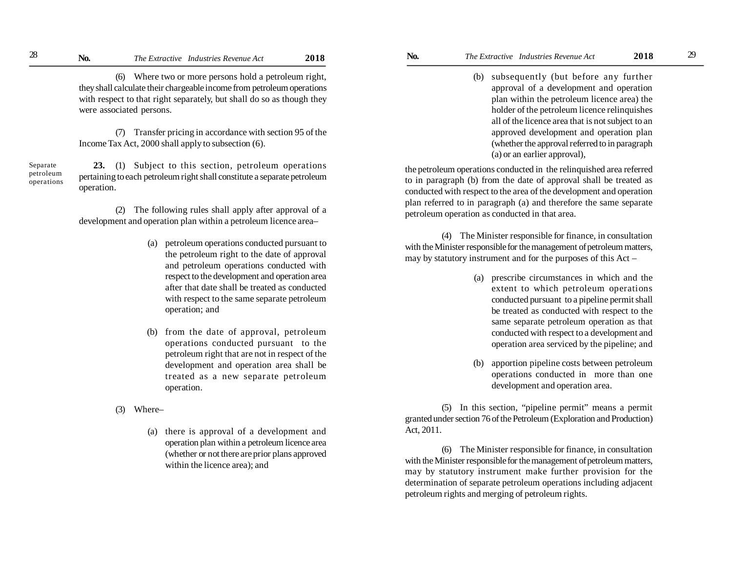(6) Where two or more persons hold a petroleum right, they shall calculate their chargeable income from petroleum operations with respect to that right separately, but shall do so as though they were associated persons.

(7) Transfer pricing in accordance with section 95 of the Income Tax Act, 2000 shall apply to subsection (6).

**23.** (1) Subject to this section, petroleum operations pertaining to each petroleum right shall constitute a separate petroleum operation. Separate petroleum operations

> (2) The following rules shall apply after approval of a development and operation plan within a petroleum licence area–

- (a) petroleum operations conducted pursuant to the petroleum right to the date of approval and petroleum operations conducted with respect to the development and operation area after that date shall be treated as conducted with respect to the same separate petroleum operation; and
- (b) from the date of approval, petroleum operations conducted pursuant to the petroleum right that are not in respect of the development and operation area shall be treated as a new separate petroleum operation.
- (3) Where–
	- (a) there is approval of a development and operation plan within a petroleum licence area (whether or not there are prior plans approved within the licence area); and

(b) subsequently (but before any further approval of a development and operation plan within the petroleum licence area) the holder of the petroleum licence relinquishes all of the licence area that is not subject to an approved development and operation plan (whether the approval referred to in paragraph (a) or an earlier approval),

the petroleum operations conducted in the relinquished area referred to in paragraph (b) from the date of approval shall be treated as conducted with respect to the area of the development and operation plan referred to in paragraph (a) and therefore the same separate petroleum operation as conducted in that area.

(4) The Minister responsible for finance, in consultation with the Minister responsible for the management of petroleum matters, may by statutory instrument and for the purposes of this Act –

- (a) prescribe circumstances in which and the extent to which petroleum operations conducted pursuant to a pipeline permit shall be treated as conducted with respect to the same separate petroleum operation as that conducted with respect to a development and operation area serviced by the pipeline; and
- (b) apportion pipeline costs between petroleum operations conducted in more than one development and operation area.

(5) In this section, "pipeline permit" means a permit granted under section 76 of the Petroleum (Exploration and Production) Act, 2011.

(6) The Minister responsible for finance, in consultation with the Minister responsible for the management of petroleum matters, may by statutory instrument make further provision for the determination of separate petroleum operations including adjacent petroleum rights and merging of petroleum rights.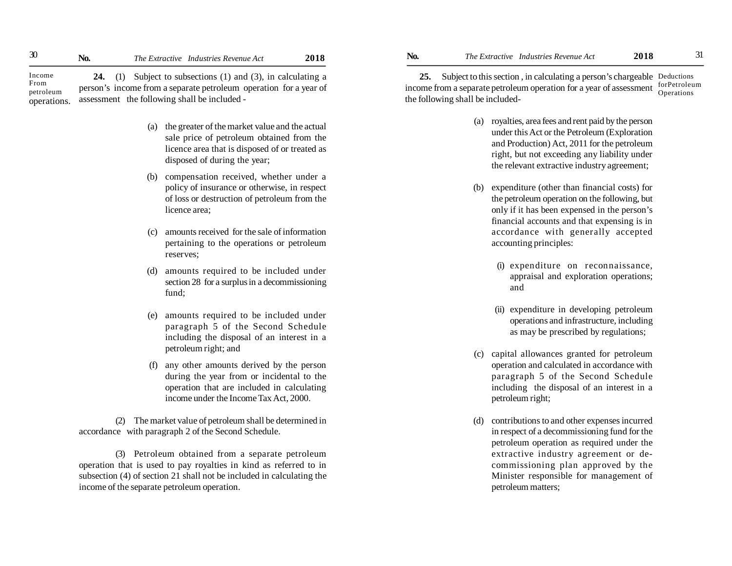**24.** (1) Subject to subsections (1) and (3), in calculating a person's income from a separate petroleum operation for a year of assessment the following shall be included - Income From petroleum operations.

- (a) the greater of the market value and the actual sale price of petroleum obtained from the licence area that is disposed of or treated as disposed of during the year;
- (b) compensation received, whether under a policy of insurance or otherwise, in respect of loss or destruction of petroleum from the licence area;
- (c) amounts received for the sale of information pertaining to the operations or petroleum reserves;
- (d) amounts required to be included under section 28 for a surplus in a decommissioning fund;
- (e) amounts required to be included under paragraph 5 of the Second Schedule including the disposal of an interest in a petroleum right; and
- any other amounts derived by the person during the year from or incidental to the operation that are included in calculating income under the Income Tax Act, 2000.

(2) The market value of petroleum shall be determined in accordance with paragraph 2 of the Second Schedule.

(3) Petroleum obtained from a separate petroleum operation that is used to pay royalties in kind as referred to in subsection (4) of section 21 shall not be included in calculating the income of the separate petroleum operation.

**25.** Subject to this section , in calculating a person's chargeable Deductions

income from a separate petroleum operation for a year of assessment forPetroleum the following shall be included- Operations

- (a) royalties, area fees and rent paid by the person under this Act or the Petroleum (Exploration and Production) Act, 2011 for the petroleum right, but not exceeding any liability under the relevant extractive industry agreement;
- (b) expenditure (other than financial costs) for the petroleum operation on the following, but only if it has been expensed in the person's financial accounts and that expensing is in accordance with generally accepted accounting principles:
	- (i) expenditure on reconnaissance, appraisal and exploration operations; and
	- (ii) expenditure in developing petroleum operations and infrastructure, including as may be prescribed by regulations;
- (c) capital allowances granted for petroleum operation and calculated in accordance with paragraph 5 of the Second Schedule including the disposal of an interest in a petroleum right;
- (d) contributions to and other expenses incurred in respect of a decommissioning fund for the petroleum operation as required under the extractive industry agreement or decommissioning plan approved by the Minister responsible for management of petroleum matters;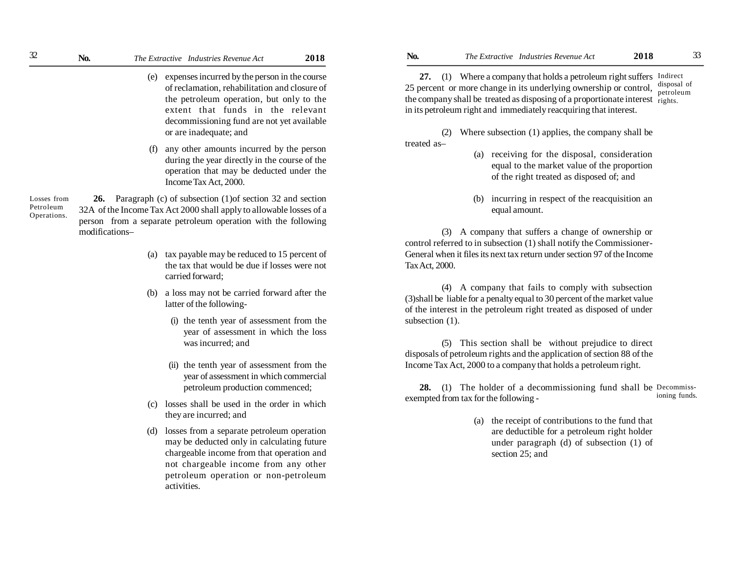- (e) expenses incurred by the person in the course of reclamation, rehabilitation and closure of the petroleum operation, but only to the extent that funds in the relevant decommissioning fund are not yet available or are inadequate; and
- (f) any other amounts incurred by the person during the year directly in the course of the operation that may be deducted under the Income Tax Act, 2000.

Losses from Petroleum Operations.

**26.** Paragraph (c) of subsection (1)of section 32 and section 32A of the Income Tax Act 2000 shall apply to allowable losses of a person from a separate petroleum operation with the following modifications–

- (a) tax payable may be reduced to 15 percent of the tax that would be due if losses were not carried forward;
- (b) a loss may not be carried forward after the latter of the following-
	- (i) the tenth year of assessment from the year of assessment in which the loss was incurred; and
	- (ii) the tenth year of assessment from the year of assessment in which commercial petroleum production commenced;
- (c) losses shall be used in the order in which they are incurred; and
- (d) losses from a separate petroleum operation may be deducted only in calculating future chargeable income from that operation and not chargeable income from any other petroleum operation or non-petroleum activities.

27. (1) Where a company that holds a petroleum right suffers Indirect 25 percentor more change in its underlying ownership or control, the company shall be treated as disposing of a proportionate interest  $\frac{1}{1}$  rights. in its petroleum right and immediately reacquiring that interest. disposal of petroleum

(2) Where subsection (1) applies, the company shall be treated as–

- (a) receiving for the disposal, consideration equal to the market value of the proportion of the right treated as disposed of; and
- (b) incurring in respect of the reacquisition an equal amount.

(3) A company that suffers a change of ownership or control referred to in subsection (1) shall notify the Commissioner-General when it files its next tax return under section 97 of the Income Tax Act, 2000.

(4) A company that fails to comply with subsection (3)shall be liable for a penalty equal to 30 percent of the market value of the interest in the petroleum right treated as disposed of under subsection  $(1)$ .

(5) This section shall be without prejudice to direct disposals of petroleum rights and the application of section 88 of the Income Tax Act, 2000 to a company that holds a petroleum right.

**28.** (1) The holder of a decommissioning fund shall be Decommissexempted from tax for the following ioning funds.

> (a) the receipt of contributions to the fund that are deductible for a petroleum right holder under paragraph (d) of subsection (1) of section 25; and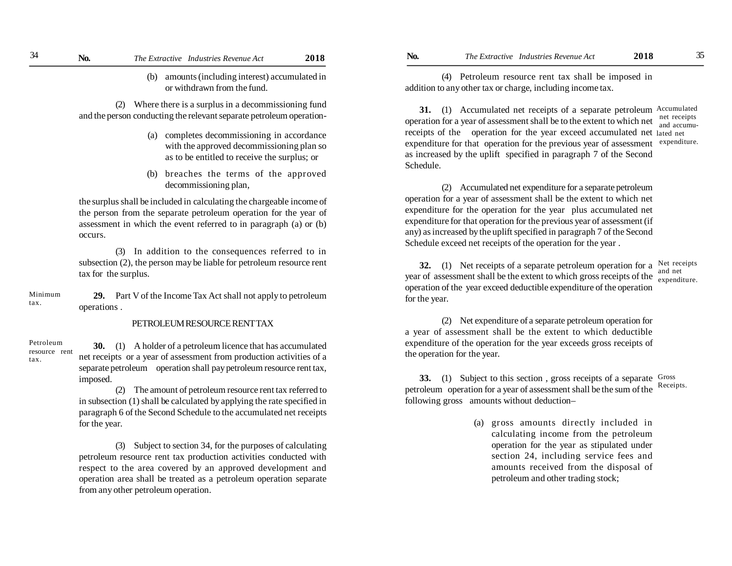(b) amounts (including interest) accumulated in or withdrawn from the fund.

(2) Where there is a surplus in a decommissioning fund and the person conducting the relevant separate petroleum operation-

- (a) completes decommissioning in accordance with the approved decommissioning plan so as to be entitled to receive the surplus; or
- (b) breaches the terms of the approved decommissioning plan,

the surplus shall be included in calculating the chargeable income of the person from the separate petroleum operation for the year of assessment in which the event referred to in paragraph (a) or (b) occurs.

(3) In addition to the consequences referred to in subsection (2), the person may be liable for petroleum resource rent tax for the surplus.

Minimum tax.

tax.

**29.** Part V of the Income Tax Act shall not apply to petroleum operations .

### PETROLEUM RESOURCE RENT TAX

**30.** (1) A holder of a petroleum licence that has accumulated net receipts or a year of assessment from production activities of a separate petroleum operation shall pay petroleum resource rent tax, imposed. Petroleum resource rent

> (2) The amount of petroleum resource rent tax referred to in subsection (1) shall be calculated by applying the rate specified in paragraph 6 of the Second Schedule to the accumulated net receipts for the year.

> (3) Subject to section 34, for the purposes of calculating petroleum resource rent tax production activities conducted with respect to the area covered by an approved development and operation area shall be treated as a petroleum operation separate from any other petroleum operation.

(4) Petroleum resource rent tax shall be imposed in addition to any other tax or charge, including income tax.

**31.** (1) Accumulated net receipts of a separate petroleum Accumulated operation for a year of assessment shall be to the extent to which net  $\frac{\text{net} \text{rect}}{\text{and} \text{accum}}$ receipts of the operation for the year exceed accumulated net lated net expenditure for that operation for the previous year of assessment expenditure. as increased by the uplift specified in paragraph 7 of the Second Schedule. and accumu-

(2) Accumulated net expenditure for a separate petroleum operation for a year of assessment shall be the extent to which net expenditure for the operation for the year plus accumulated net expenditure for that operation for the previous year of assessment (if any) as increased by the uplift specified in paragraph 7 of the Second Schedule exceed net receipts of the operation for the year .

**32.** (1) Net receipts of a separate petroleum operation for a Net receipts year of assessment shall be the extent to which gross receipts of the  $\frac{1}{\text{expand}}$ operation of the year exceed deductible expenditure of the operation for the year. expenditure.

(2) Net expenditure of a separate petroleum operation for a year of assessment shall be the extent to which deductible expenditure of the operation for the year exceeds gross receipts of the operation for the year.

**33.** (1) Subject to this section, gross receipts of a separate Gross petroleum operation for a year of assessment shall be the sum of the following gross amounts without deduction– Receipts.

> (a) gross amounts directly included in calculating income from the petroleum operation for the year as stipulated under section 24, including service fees and amounts received from the disposal of petroleum and other trading stock;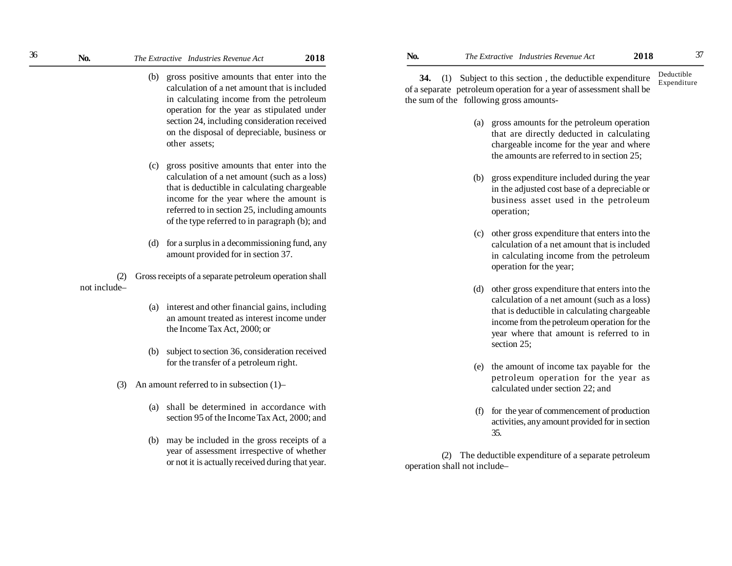- (b) gross positive amounts that enter into the calculation of a net amount that is included in calculating income from the petroleum operation for the year as stipulated under section 24, including consideration received on the disposal of depreciable, business or other assets;
- (c) gross positive amounts that enter into the calculation of a net amount (such as a loss) that is deductible in calculating chargeable income for the year where the amount is referred to in section 25, including amounts of the type referred to in paragraph (b); and
- (d) for a surplus in a decommissioning fund, any amount provided for in section 37.

(2) Gross receipts of a separate petroleum operation shall not include–

- (a) interest and other financial gains, including an amount treated as interest income under the Income Tax Act, 2000; or
- (b) subject to section 36, consideration received for the transfer of a petroleum right.
- (3) An amount referred to in subsection (1)–
	- (a) shall be determined in accordance with section 95 of the Income Tax Act, 2000; and
	- (b) may be included in the gross receipts of a year of assessment irrespective of whether or not it is actually received during that year.

**34.** (1) Subject to this section , the deductible expenditure of a separate petroleum operation for a year of assessment shall be the sum of the following gross amounts- Deductible Expenditure

- (a) gross amounts for the petroleum operation that are directly deducted in calculating chargeable income for the year and where the amounts are referred to in section 25;
- (b) gross expenditure included during the year in the adjusted cost base of a depreciable or business asset used in the petroleum operation;
- (c) other gross expenditure that enters into the calculation of a net amount that is included in calculating income from the petroleum operation for the year;
- (d) other gross expenditure that enters into the calculation of a net amount (such as a loss) that is deductible in calculating chargeable income from the petroleum operation for the year where that amount is referred to in section 25;
- (e) the amount of income tax payable for the petroleum operation for the year as calculated under section 22; and
- (f) for the year of commencement of production activities, any amount provided for in section 35.

(2) The deductible expenditure of a separate petroleum operation shall not include–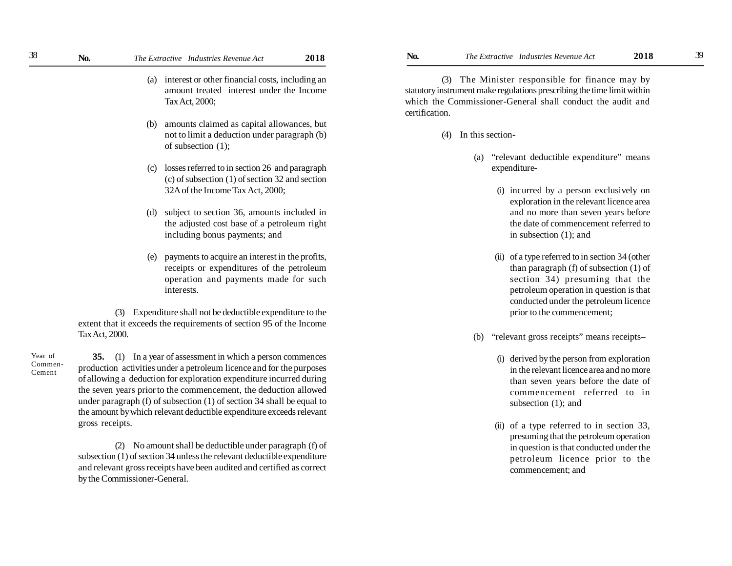- (a) interest or other financial costs, including an amount treated interest under the Income Tax Act, 2000;
- (b) amounts claimed as capital allowances, but not to limit a deduction under paragraph (b) of subsection (1);
- (c) losses referred to in section 26 and paragraph (c) of subsection (1) of section 32 and section 32A of the Income Tax Act, 2000;
- (d) subject to section 36, amounts included in the adjusted cost base of a petroleum right including bonus payments; and
- (e) payments to acquire an interest in the profits, receipts or expenditures of the petroleum operation and payments made for such interests.

(3) Expenditure shall not be deductible expenditure to the extent that it exceeds the requirements of section 95 of the Income Tax Act, 2000.

Year of Commen-Cement

**35.** (1) In a year of assessment in which a person commences production activities under a petroleum licence and for the purposes of allowing a deduction for exploration expenditure incurred during the seven years priorto the commencement, the deduction allowed under paragraph (f) of subsection (1) of section 34 shall be equal to the amount by which relevant deductible expenditure exceeds relevant gross receipts.

(2) No amount shall be deductible under paragraph (f) of subsection (1) of section 34 unless the relevant deductible expenditure and relevant gross receipts have been audited and certified as correct by the Commissioner-General.

(3) The Minister responsible for finance may by statutory instrument make regulations prescribing the time limit within which the Commissioner-General shall conduct the audit and certification.

- (4) In this section-
	- (a) "relevant deductible expenditure" means expenditure-
		- (i) incurred by a person exclusively on exploration in the relevant licence area and no more than seven years before the date of commencement referred to in subsection (1); and
		- (ii) of a type referred to in section 34 (other than paragraph (f) of subsection (1) of section 34) presuming that the petroleum operation in question is that conducted under the petroleum licence prior to the commencement;
	- (b) "relevant gross receipts" means receipts–
		- (i) derived by the person from exploration in the relevant licence area and no more than seven years before the date of commencement referred to in subsection  $(1)$ ; and
		- (ii) of a type referred to in section 33, presuming that the petroleum operation in question is that conducted under the petroleum licence prior to the commencement; and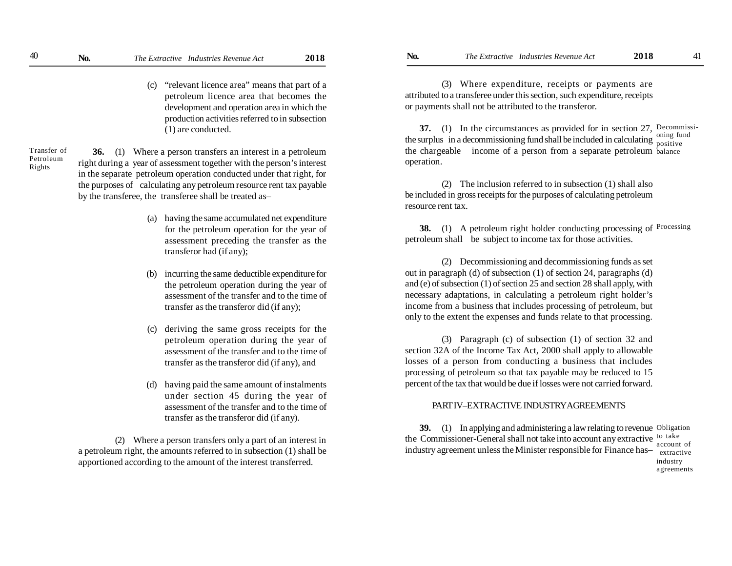(c) "relevant licence area" means that part of a petroleum licence area that becomes the development and operation area in which the production activities referred to in subsection (1) are conducted.

Transfer of Petroleum Rights

- **36.** (1) Where a person transfers an interest in a petroleum right during a year of assessment together with the person's interest in the separate petroleum operation conducted under that right, for the purposes of calculating any petroleum resource rent tax payable by the transferee, the transferee shall be treated as–
	- (a) having the same accumulated net expenditure for the petroleum operation for the year of assessment preceding the transfer as the transferor had (if any);
	- (b) incurring the same deductible expenditure for the petroleum operation during the year of assessment of the transfer and to the time of transfer as the transferor did (if any);
	- deriving the same gross receipts for the petroleum operation during the year of assessment of the transfer and to the time of transfer as the transferor did (if any), and
	- (d) having paid the same amount of instalments under section 45 during the year of assessment of the transfer and to the time of transfer as the transferor did (if any).

(2) Where a person transfers only a part of an interest in a petroleum right, the amounts referred to in subsection (1) shall be apportioned according to the amount of the interest transferred.

(3) Where expenditure, receipts or payments are attributed to a transferee under this section, such expenditure, receipts or payments shall not be attributed to the transferor.

**37.** (1) In the circumstances as provided for in section 27, Decommissithe surplus in a decommissioning fund shall be included in calculating  $\frac{\text{sum}}{\text{positive}}$ the chargeable income of a person from a separate petroleum balance operation. oning fund

(2) The inclusion referred to in subsection (1) shall also be included in gross receipts for the purposes of calculating petroleum resource rent tax.

**38.** (1) A petroleum right holder conducting processing of <sup>Processing</sup> petroleum shall be subject to income tax for those activities.

(2) Decommissioning and decommissioning funds as set out in paragraph (d) of subsection (1) of section 24, paragraphs (d) and (e) of subsection (1) of section 25 and section 28 shall apply, with necessary adaptations, in calculating a petroleum right holder's income from a business that includes processing of petroleum, but only to the extent the expenses and funds relate to that processing.

(3) Paragraph (c) of subsection (1) of section 32 and section 32A of the Income Tax Act, 2000 shall apply to allowable losses of a person from conducting a business that includes processing of petroleum so that tax payable may be reduced to 15 percent of the tax that would be due if losses were not carried forward.

# PART IV–EXTRACTIVE INDUSTRY AGREEMENTS

**39.** (1) In applying and administering a law relating to revenue Obligation the Commissioner-General shall not take into account any extractive <sup>to take</sup> industry agreement unless the Minister responsible for Finance has—extractive account of industry

agreements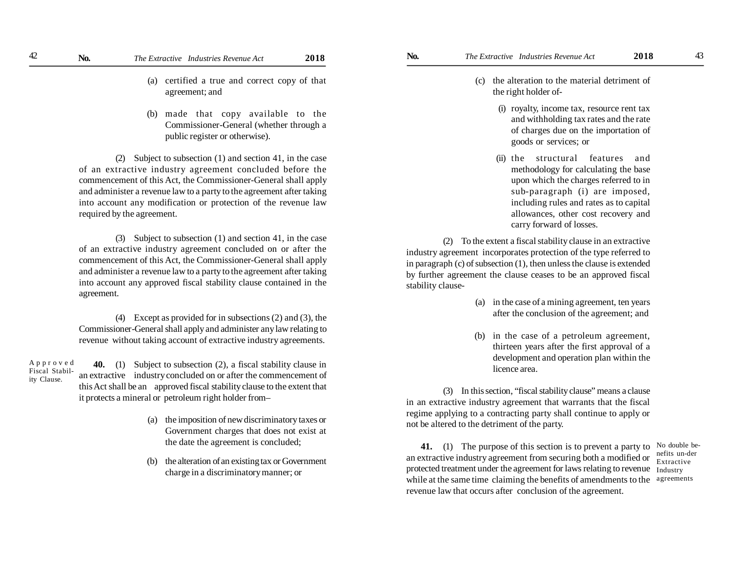- (a) certified a true and correct copy of that agreement; and
- (b) made that copy available to the Commissioner-General (whether through a public register or otherwise).

(2) Subject to subsection (1) and section 41, in the case of an extractive industry agreement concluded before the commencement of this Act, the Commissioner-General shall apply and administer a revenue law to a party to the agreement after taking into account any modification or protection of the revenue law required by the agreement.

(3) Subject to subsection (1) and section 41, in the case of an extractive industry agreement concluded on or after the commencement of this Act, the Commissioner-General shall apply and administer a revenue law to a party to the agreement after taking into account any approved fiscal stability clause contained in the agreement.

(4) Except as provided for in subsections (2) and (3), the Commissioner-General shall apply and administer any law relating to revenue without taking account of extractive industry agreements.

A p p r o v e d Fiscal Stability Clause **40.** (1) Subject to subsection (2), a fiscal stability clause in an extractive industry concluded on or after the commencement of this Act shall be an approved fiscal stability clause to the extent that it protects a mineral or petroleum right holder from–

- (a) the imposition of new discriminatory taxes or Government charges that does not exist at the date the agreement is concluded;
- (b) the alteration of an existing tax or Government charge in a discriminatory manner; or
- (c) the alteration to the material detriment of the right holder of-
	- (i) royalty, income tax, resource rent tax and withholding tax rates and the rate of charges due on the importation of goods or services; or
	- (ii) the structural features and methodology for calculating the base upon which the charges referred to in sub-paragraph (i) are imposed, including rules and rates as to capital allowances, other cost recovery and carry forward of losses.

(2) To the extent a fiscal stability clause in an extractive industry agreement incorporates protection of the type referred to in paragraph (c) of subsection (1), then unless the clause is extended by further agreement the clause ceases to be an approved fiscal stability clause-

- (a) in the case of a mining agreement, ten years after the conclusion of the agreement; and
- (b) in the case of a petroleum agreement, thirteen years after the first approval of a development and operation plan within the licence area.

(3) In this section, "fiscal stability clause" means a clause in an extractive industry agreement that warrants that the fiscal regime applying to a contracting party shall continue to apply or not be altered to the detriment of the party.

protected treatment under the agreement for laws relating to revenue Industry while at the same time claiming the benefits of amendments to the agreements **41.** (1) The purpose of this section is to prevent a party to an extractive industry agreement from securing both a modified or revenue law that occurs after conclusion of the agreement.

No double benefits un-der Extractive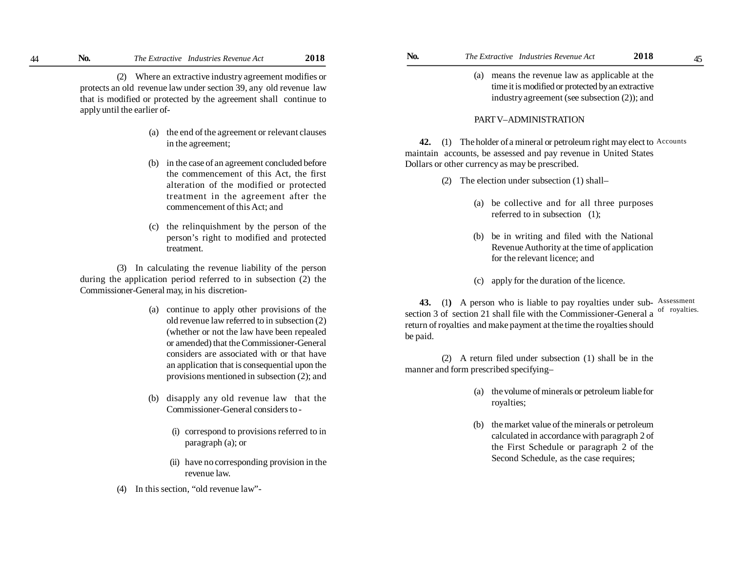**No. No.** *The Extractive Industries Revenue Act* **2018 No.** *The Extractive Industries Revenue Act* **2018** 45

(2) Where an extractive industry agreement modifies or protects an old revenue law under section 39, any old revenue law that is modified or protected by the agreement shall continue to apply until the earlier of-

- (a) the end of the agreement or relevant clauses in the agreement;
- (b) in the case of an agreement concluded before the commencement of this Act, the first alteration of the modified or protected treatment in the agreement after the commencement of this Act; and
- (c) the relinquishment by the person of the person's right to modified and protected treatment.

(3) In calculating the revenue liability of the person during the application period referred to in subsection (2) the Commissioner-General may, in his discretion-

- (a) continue to apply other provisions of the old revenue law referred to in subsection (2) (whether or not the law have been repealed or amended) that the Commissioner-General considers are associated with or that have an application that is consequential upon the provisions mentioned in subsection (2); and
- (b) disapply any old revenue law that the Commissioner-General considers to -
	- (i) correspond to provisions referred to in paragraph (a); or
	- (ii) have no corresponding provision in the revenue law.
- (4) In this section, "old revenue law"-
- - (a) means the revenue law as applicable at the time it is modified or protected by an extractive industry agreement (see subsection (2)); and

# PART V–ADMINISTRATION

**42.** (1) The holder of a mineral or petroleum right may elect to Accounts maintain accounts, be assessed and pay revenue in United States Dollars or other currency as may be prescribed.

- (2) The election under subsection (1) shall–
	- (a) be collective and for all three purposes referred to in subsection (1);
	- (b) be in writing and filed with the National Revenue Authority at the time of application for the relevant licence; and
	- (c) apply for the duration of the licence.

43. (1) A person who is liable to pay royalties under sub-Assessment section 3 of section 21 shall file with the Commissioner-General a return of royalties and make payment at the time the royalties should be paid. of royalties.

(2) A return filed under subsection (1) shall be in the manner and form prescribed specifying–

- (a) the volume of minerals or petroleum liable for royalties;
- (b) the market value of the minerals or petroleum calculated in accordance with paragraph 2 of the First Schedule or paragraph 2 of the Second Schedule, as the case requires;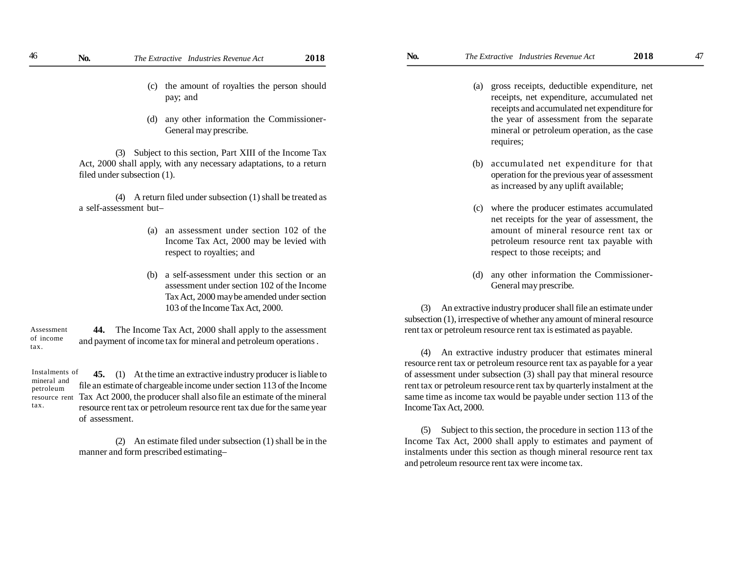- (c) the amount of royalties the person should pay; and
- (d) any other information the Commissioner-General may prescribe.

(3) Subject to this section, Part XIII of the Income Tax Act, 2000 shall apply, with any necessary adaptations, to a return filed under subsection (1).

(4) A return filed under subsection (1) shall be treated as a self-assessment but–

- (a) an assessment under section 102 of the Income Tax Act, 2000 may be levied with respect to royalties; and
- (b) a self-assessment under this section or an assessment under section 102 of the Income Tax Act, 2000 may be amended under section 103 of the Income Tax Act, 2000.

**44.** The Income Tax Act, 2000 shall apply to the assessment and payment of income tax for mineral and petroleum operations . Assessment of income tax.

Instalments of mineral and petroleum resource rent tax.

**45.** (1) At the time an extractive industry producer is liable to file an estimate of chargeable income under section 113 of the Income Tax Act 2000, the producer shall also file an estimate of the mineral resource rent tax or petroleum resource rent tax due for the same year of assessment.

(2) An estimate filed under subsection (1) shall be in the manner and form prescribed estimating–

- receipts, net expenditure, accumulated net receipts and accumulated net expenditure for the year of assessment from the separate mineral or petroleum operation, as the case requires;
- (b) accumulated net expenditure for that operation for the previous year of assessment as increased by any uplift available;
- (c) where the producer estimates accumulated net receipts for the year of assessment, the amount of mineral resource rent tax or petroleum resource rent tax payable with respect to those receipts; and
- (d) any other information the Commissioner-General may prescribe.

(3) An extractive industry producer shall file an estimate under subsection (1), irrespective of whether any amount of mineral resource rent tax or petroleum resource rent tax is estimated as payable.

(4) An extractive industry producer that estimates mineral resource rent tax or petroleum resource rent tax as payable for a year of assessment under subsection (3) shall pay that mineral resource rent tax or petroleum resource rent tax by quarterly instalment at the same time as income tax would be payable under section 113 of the Income Tax Act, 2000.

(5) Subject to this section, the procedure in section 113 of the Income Tax Act, 2000 shall apply to estimates and payment of instalments under this section as though mineral resource rent tax and petroleum resource rent tax were income tax.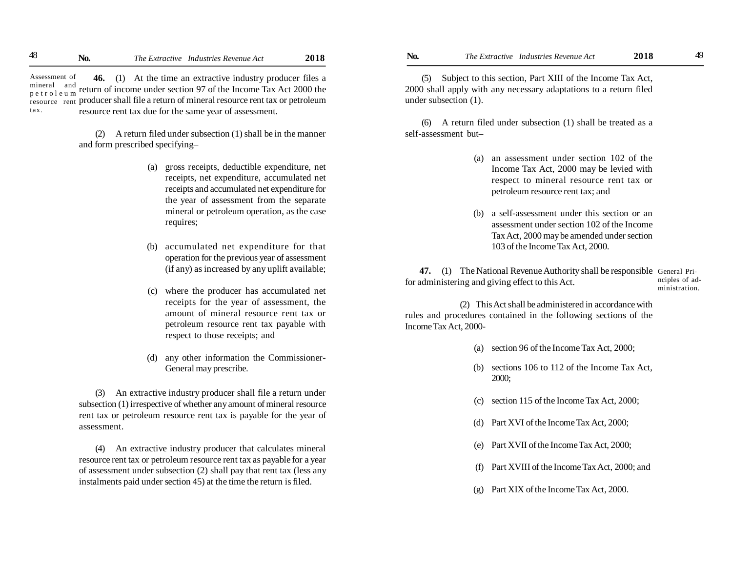**46.** (1) At the time an extractive industry producer files a mineral and return of income under section 97 of the Income Tax Act 2000 the resource rent producer shall file a return of mineral resource rent tax or petroleum resource rent tax due for the same year of assessment. Assessment of p e t r o l e u m tax.

> (2) A return filed under subsection (1) shall be in the manner and form prescribed specifying–

- (a) gross receipts, deductible expenditure, net receipts, net expenditure, accumulated net receipts and accumulated net expenditure for the year of assessment from the separate mineral or petroleum operation, as the case requires;
- (b) accumulated net expenditure for that operation for the previous year of assessment (if any) as increased by any uplift available;
- (c) where the producer has accumulated net receipts for the year of assessment, the amount of mineral resource rent tax or petroleum resource rent tax payable with respect to those receipts; and
- (d) any other information the Commissioner-General may prescribe.

(3) An extractive industry producer shall file a return under subsection (1) irrespective of whether any amount of mineral resource rent tax or petroleum resource rent tax is payable for the year of assessment.

(4) An extractive industry producer that calculates mineral resource rent tax or petroleum resource rent tax as payable for a year of assessment under subsection (2) shall pay that rent tax (less any instalments paid under section 45) at the time the return is filed.

(5) Subject to this section, Part XIII of the Income Tax Act, 2000 shall apply with any necessary adaptations to a return filed under subsection (1).

(6) A return filed under subsection (1) shall be treated as a self-assessment but–

- (a) an assessment under section 102 of the Income Tax Act, 2000 may be levied with respect to mineral resource rent tax or petroleum resource rent tax; and
- (b) a self-assessment under this section or an assessment under section 102 of the Income Tax Act, 2000 may be amended under section 103 of the Income Tax Act, 2000.

**47.** (1) The National Revenue Authority shall be responsible General Prifor administering and giving effect to this Act. nciples of administration.

(2) This Act shall be administered in accordance with rules and procedures contained in the following sections of the Income Tax Act, 2000-

- (a) section 96 of the Income Tax Act, 2000;
- (b) sections 106 to 112 of the Income Tax Act, 2000;
- (c) section 115 of the Income Tax Act, 2000;
- (d) Part XVI of the Income Tax Act, 2000;
- (e) Part XVII of the Income Tax Act, 2000;
- (f) Part XVIII of the Income Tax Act, 2000; and
- (g) Part XIX of the Income Tax Act, 2000.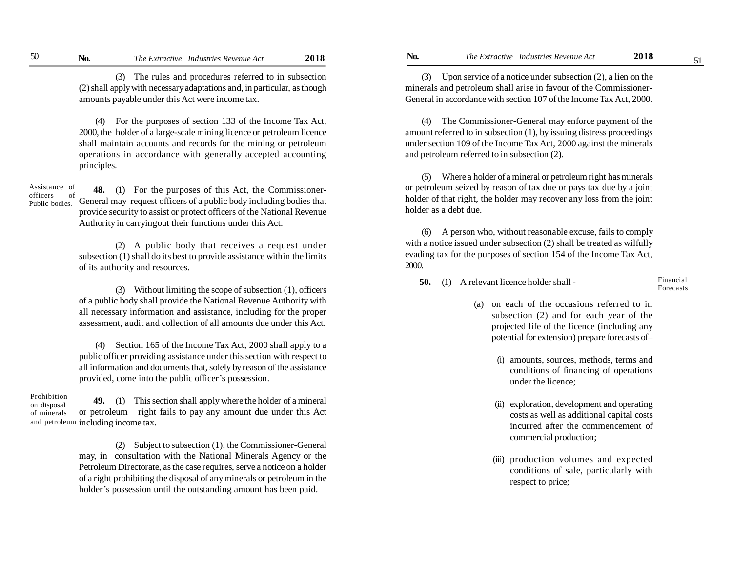(3) The rules and procedures referred to in subsection (2) shall apply with necessary adaptations and, in particular, as though amounts payable under this Act were income tax.

(4) For the purposes of section 133 of the Income Tax Act, 2000, the holder of a large-scale mining licence or petroleum licence shall maintain accounts and records for the mining or petroleum operations in accordance with generally accepted accounting principles.

Assistance of officers of Public bodies.

**48.** (1) For the purposes of this Act, the Commissioner-General may request officers of a public body including bodies that provide security to assist or protect officers of the National Revenue Authority in carryingout their functions under this Act.

(2) A public body that receives a request under subsection (1) shall do its best to provide assistance within the limits of its authority and resources.

(3) Without limiting the scope of subsection (1), officers of a public body shall provide the National Revenue Authority with all necessary information and assistance, including for the proper assessment, audit and collection of all amounts due under this Act.

(4) Section 165 of the Income Tax Act, 2000 shall apply to a public officer providing assistance under this section with respect to all information and documents that, solely by reason of the assistance provided, come into the public officer's possession.

**49.** (1) This section shall apply where the holder of a mineral or petroleum right fails to pay any amount due under this Act and petroleum including income tax. Prohibition on disposal of minerals

> (2) Subject to subsection (1), the Commissioner-General may, in consultation with the National Minerals Agency or the Petroleum Directorate, as the case requires, serve a notice on a holder of a right prohibiting the disposal of any minerals or petroleum in the holder's possession until the outstanding amount has been paid.

(3) Upon service of a notice under subsection (2), a lien on the minerals and petroleum shall arise in favour of the Commissioner-General in accordance with section 107 of the Income Tax Act, 2000.

(4) The Commissioner-General may enforce payment of the amount referred to in subsection (1), by issuing distress proceedings under section 109 of the Income Tax Act, 2000 against the minerals and petroleum referred to in subsection (2).

(5) Where a holder of a mineral or petroleum right has minerals or petroleum seized by reason of tax due or pays tax due by a joint holder of that right, the holder may recover any loss from the joint holder as a debt due.

(6) A person who, without reasonable excuse, fails to comply with a notice issued under subsection (2) shall be treated as wilfully evading tax for the purposes of section 154 of the Income Tax Act, 2000.

**50.** (1) A relevant licence holder shall -

Financial Forecasts

- (a) on each of the occasions referred to in subsection (2) and for each year of the projected life of the licence (including any potential for extension) prepare forecasts of–
	- (i) amounts, sources, methods, terms and conditions of financing of operations under the licence;
	- (ii) exploration, development and operating costs as well as additional capital costs incurred after the commencement of commercial production;
	- (iii) production volumes and expected conditions of sale, particularly with respect to price;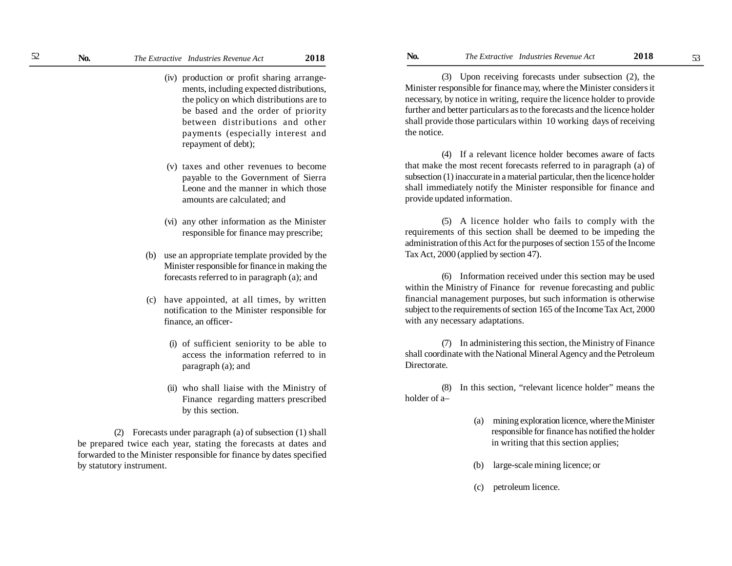- (iv) production or profit sharing arrangements, including expected distributions, the policy on which distributions are to be based and the order of priority between distributions and other payments (especially interest and repayment of debt);
- (v) taxes and other revenues to become payable to the Government of Sierra Leone and the manner in which those amounts are calculated; and
- (vi) any other information as the Minister responsible for finance may prescribe;
- (b) use an appropriate template provided by the Minister responsible for finance in making the forecasts referred to in paragraph (a); and
- have appointed, at all times, by written notification to the Minister responsible for finance, an officer-
	- (i) of sufficient seniority to be able to access the information referred to in paragraph (a); and
	- (ii) who shall liaise with the Ministry of Finance regarding matters prescribed by this section.

(2) Forecasts under paragraph (a) of subsection (1) shall be prepared twice each year, stating the forecasts at dates and forwarded to the Minister responsible for finance by dates specified by statutory instrument.

(3) Upon receiving forecasts under subsection (2), the Minister responsible for finance may, where the Minister considers it necessary, by notice in writing, require the licence holder to provide further and better particulars as to the forecasts and the licence holder shall provide those particulars within 10 working days of receiving the notice.

(4) If a relevant licence holder becomes aware of facts that make the most recent forecasts referred to in paragraph (a) of subsection (1) inaccurate in a material particular, then the licence holder shall immediately notify the Minister responsible for finance and provide updated information.

(5) A licence holder who fails to comply with the requirements of this section shall be deemed to be impeding the administration of this Act for the purposes of section 155 of the Income Tax Act, 2000 (applied by section 47).

(6) Information received under this section may be used within the Ministry of Finance for revenue forecasting and public financial management purposes, but such information is otherwise subject to the requirements of section 165 of the Income Tax Act, 2000 with any necessary adaptations.

(7) In administering this section, the Ministry of Finance shall coordinate with the National Mineral Agency and the Petroleum Directorate.

(8) In this section, "relevant licence holder" means the holder of a–

- (a) mining exploration licence, where the Minister responsible for finance has notified the holder in writing that this section applies;
- (b) large-scale mining licence; or
- (c) petroleum licence.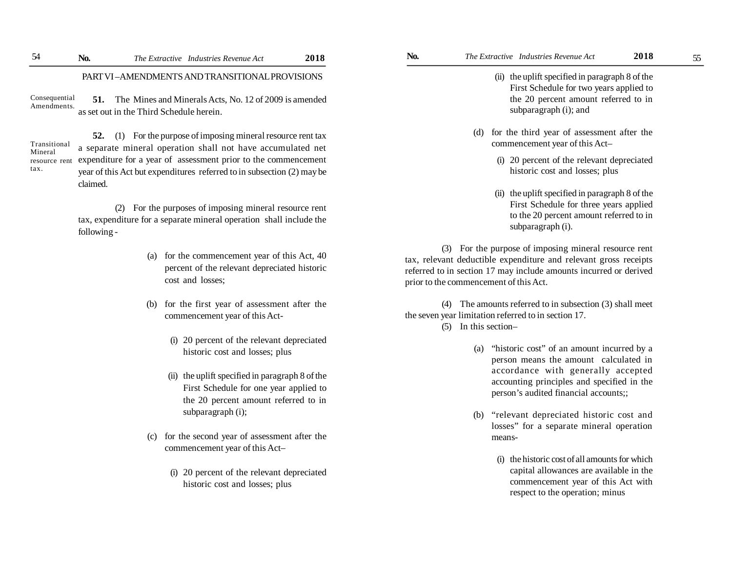PART VI –AMENDMENTS AND TRANSITIONAL PROVISIONS

**51.** The Mines and Minerals Acts, No. 12 of 2009 is amended as set out in the Third Schedule herein. Consequential Amendments.

Transitional Mineral tax.

**52.** (1) For the purpose of imposing mineral resource rent tax a separate mineral operation shall not have accumulated net resource rent expenditure for a year of assessment prior to the commencement year of this Act but expenditures referred to in subsection (2) may be claimed.

> (2) For the purposes of imposing mineral resource rent tax, expenditure for a separate mineral operation shall include the following -

- (a) for the commencement year of this Act, 40 percent of the relevant depreciated historic cost and losses;
- (b) for the first year of assessment after the commencement year of this Act-
	- (i) 20 percent of the relevant depreciated historic cost and losses; plus
	- (ii) the uplift specified in paragraph 8 of the First Schedule for one year applied to the 20 percent amount referred to in subparagraph (i);
- (c) for the second year of assessment after the commencement year of this Act–
	- (i) 20 percent of the relevant depreciated historic cost and losses; plus
- (ii) the uplift specified in paragraph 8 of the First Schedule for two years applied to the 20 percent amount referred to in subparagraph (i); and
- (d) for the third year of assessment after the commencement year of this Act–
	- (i) 20 percent of the relevant depreciated historic cost and losses; plus
	- (ii) the uplift specified in paragraph 8 of the First Schedule for three years applied to the 20 percent amount referred to in subparagraph (i).

(3) For the purpose of imposing mineral resource rent tax, relevant deductible expenditure and relevant gross receipts referred to in section 17 may include amounts incurred or derived prior to the commencement of this Act.

(4) The amounts referred to in subsection (3) shall meet the seven year limitation referred to in section 17.

- (5) In this section–
	- (a) "historic cost" of an amount incurred by a person means the amount calculated in accordance with generally accepted accounting principles and specified in the person's audited financial accounts;;
	- (b) "relevant depreciated historic cost and losses" for a separate mineral operation means-
		- (i) the historic cost of all amounts for which capital allowances are available in the commencement year of this Act with respect to the operation; minus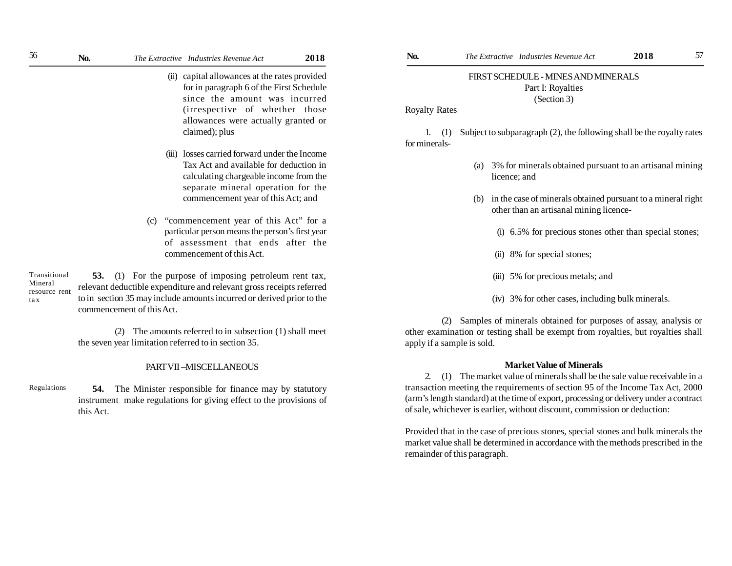| 56 | No. | The Extractive Industries Revenue Act | 2018 |
|----|-----|---------------------------------------|------|
|    |     |                                       |      |

- (ii) capital allowances at the rates provided for in paragraph 6 of the First Schedule since the amount was incurred (irrespective of whether those allowances were actually granted or claimed); plus
- (iii) losses carried forward under the Income Tax Act and available for deduction in calculating chargeable income from the separate mineral operation for the commencement year of this Act; and
- (c) "commencement year of this Act" for a particular person means the person's first year of assessment that ends after the commencement of this Act.

**53.** (1) For the purpose of imposing petroleum rent tax, relevant deductible expenditure and relevant gross receipts referred to in section 35 may include amounts incurred or derived prior to the commencement of this Act. Transitional Mineral resource rent ta x

> (2) The amounts referred to in subsection (1) shall meet the seven year limitation referred to in section 35.

# PART VII –MISCELLANEOUS

**54.** The Minister responsible for finance may by statutory instrument make regulations for giving effect to the provisions of this Act. Regulations

# FIRST SCHEDULE - MINES AND MINERALS Part I: Royalties (Section 3)

Royalty Rates

1. (1) Subject to subparagraph (2), the following shall be the royalty rates for minerals-

- (a) 3% for minerals obtained pursuant to an artisanal mining licence; and
- (b) in the case of minerals obtained pursuant to a mineral right other than an artisanal mining licence-
	- (i) 6.5% for precious stones other than special stones;
	- (ii) 8% for special stones;
	- (iii) 5% for precious metals; and
	- (iv) 3% for other cases, including bulk minerals.

(2) Samples of minerals obtained for purposes of assay, analysis or other examination or testing shall be exempt from royalties, but royalties shall apply if a sample is sold.

# **Market Value of Minerals**

2. (1) The market value of minerals shall be the sale value receivable in a transaction meeting the requirements of section 95 of the Income Tax Act, 2000 (arm's length standard) at the time of export, processing or delivery under a contract of sale, whichever is earlier, without discount, commission or deduction:

Provided that in the case of precious stones, special stones and bulk minerals the market value shall be determined in accordance with the methods prescribed in the remainder of this paragraph.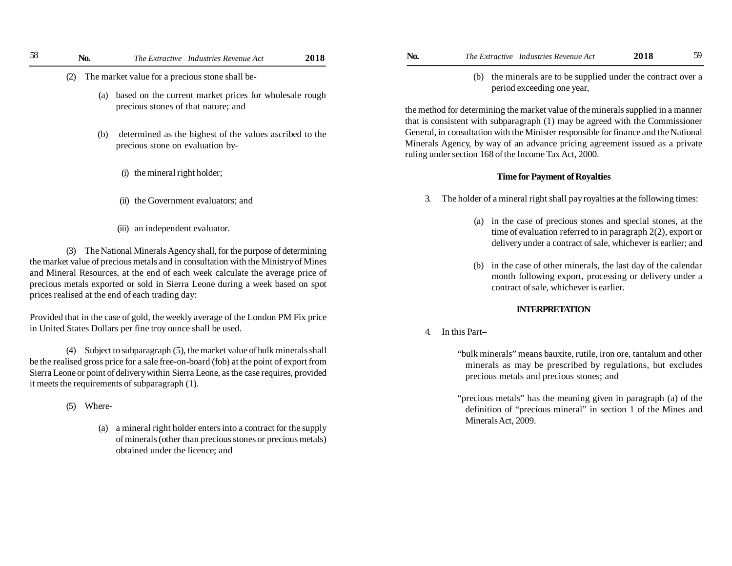- (2) The market value for a precious stone shall be-
	- (a) based on the current market prices for wholesale rough precious stones of that nature; and
	- (b) determined as the highest of the values ascribed to the precious stone on evaluation by-
		- (i) the mineral right holder;
		- (ii) the Government evaluators; and
		- (iii) an independent evaluator.

(3) The National Minerals Agency shall, for the purpose of determining the market value of precious metals and in consultation with the Ministry of Mines and Mineral Resources, at the end of each week calculate the average price of precious metals exported or sold in Sierra Leone during a week based on spot prices realised at the end of each trading day:

Provided that in the case of gold, the weekly average of the London PM Fix price in United States Dollars per fine troy ounce shall be used.

(4) Subject to subparagraph (5), the market value of bulk minerals shall be the realised gross price for a sale free-on-board (fob) at the point of export from Sierra Leone or point of delivery within Sierra Leone, as the case requires, provided it meets the requirements of subparagraph (1).

(5) Where-

(a) a mineral right holder enters into a contract for the supply of minerals (other than precious stones or precious metals) obtained under the licence; and

- 58 **No.** *The Extractive Industries Revenue Act* **2018 No.** *The Extractive Industries Revenue Act* **2018** 59
	- (b) the minerals are to be supplied under the contract over a period exceeding one year,

the method for determining the market value of the minerals supplied in a manner that is consistent with subparagraph (1) may be agreed with the Commissioner General, in consultation with the Minister responsible for finance and the National Minerals Agency, by way of an advance pricing agreement issued as a private ruling under section 168 of the Income Tax Act, 2000.

# **Time for Payment of Royalties**

- 3. The holder of a mineral right shall pay royalties at the following times:
	- (a) in the case of precious stones and special stones, at the time of evaluation referred to in paragraph 2(2), export or delivery under a contract of sale, whichever is earlier; and
	- (b) in the case of other minerals, the last day of the calendar month following export, processing or delivery under a contract of sale, whichever is earlier.

# **INTERPRETATION**

4. In this Part–

"bulk minerals" means bauxite, rutile, iron ore, tantalum and other minerals as may be prescribed by regulations, but excludes precious metals and precious stones; and

"precious metals" has the meaning given in paragraph (a) of the definition of "precious mineral" in section 1 of the Mines and Minerals Act, 2009.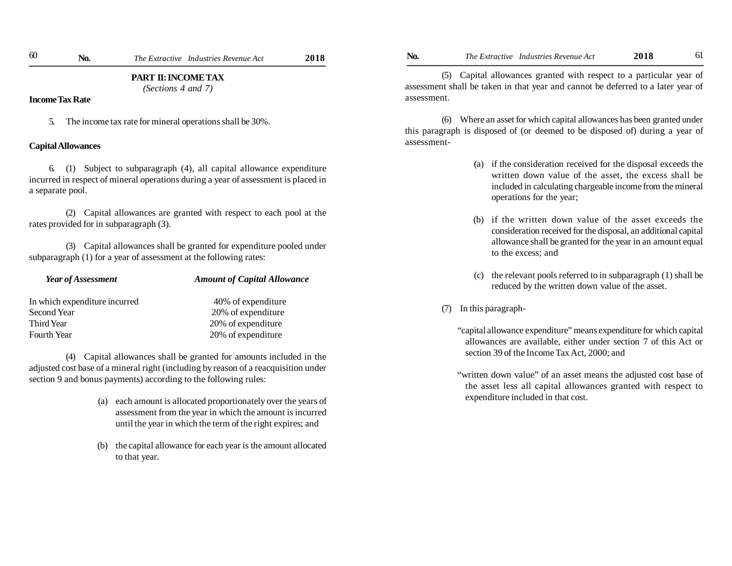*(Sections 4 and 7)*

# **Income Tax Rate**

5. The income tax rate for mineral operations shall be 30%.

# **Capital Allowances**

6. (1) Subject to subparagraph (4), all capital allowance expenditure incurred in respect of mineral operations during a year of assessment is placed in a separate pool.

(2) Capital allowances are granted with respect to each pool at the rates provided for in subparagraph (3).

(3) Capital allowances shall be granted for expenditure pooled under subparagraph (1) for a year of assessment at the following rates:

| Year of Assessment            | <b>Amount of Capital Allowance</b> |  |
|-------------------------------|------------------------------------|--|
| In which expenditure incurred | 40% of expenditure                 |  |
| Second Year                   | 20% of expenditure                 |  |
| Third Year                    | 20% of expenditure                 |  |
| Fourth Year                   | 20% of expenditure                 |  |

(4) Capital allowances shall be granted for amounts included in the adjusted cost base of a mineral right (including by reason of a reacquisition under section 9 and bonus payments) according to the following rules:

- (a) each amount is allocated proportionately over the years of assessment from the year in which the amount is incurred until the year in which the term of the right expires; and
- (b) the capital allowance for each year is the amount allocated to that year.

(5) Capital allowances granted with respect to a particular year of assessment shall be taken in that year and cannot be deferred to a later year of assessment.

(6) Where an asset for which capital allowances has been granted under this paragraph is disposed of (or deemed to be disposed of) during a year of assessment-

- (a) if the consideration received for the disposal exceeds the written down value of the asset, the excess shall be included in calculating chargeable income from the mineral operations for the year;
- (b) if the written down value of the asset exceeds the consideration received for the disposal, an additional capital allowance shall be granted for the year in an amount equal to the excess; and
- (c) the relevant pools referred to in subparagraph (1) shall be reduced by the written down value of the asset.

# (7) In this paragraph-

"capital allowance expenditure" means expenditure for which capital allowances are available, either under section 7 of this Act or section 39 of the Income Tax Act, 2000; and

"written down value" of an asset means the adjusted cost base of the asset less all capital allowances granted with respect to expenditure included in that cost.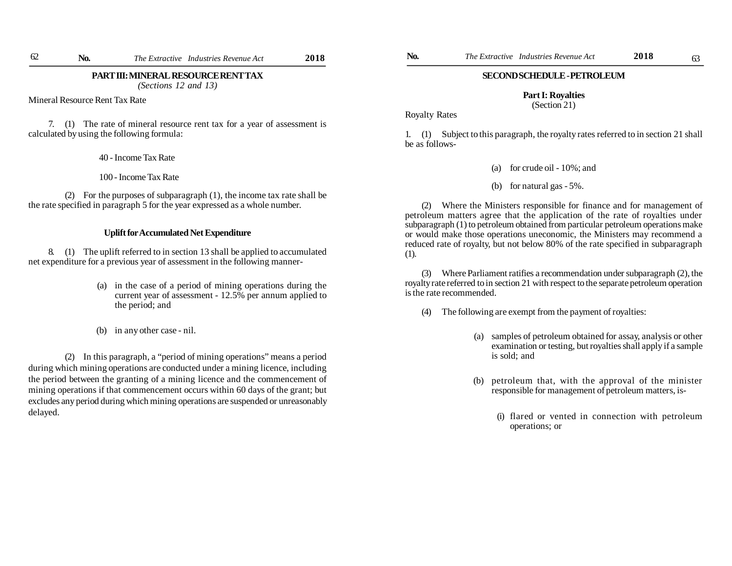*(Sections 12 and 13)*

Mineral Resource Rent Tax Rate

7. (1) The rate of mineral resource rent tax for a year of assessment is calculated by using the following formula:

40 - Income Tax Rate

100 - Income Tax Rate

(2) For the purposes of subparagraph (1), the income tax rate shall be the rate specified in paragraph 5 for the year expressed as a whole number.

# **Uplift for Accumulated Net Expenditure**

8. (1) The uplift referred to in section 13 shall be applied to accumulated net expenditure for a previous year of assessment in the following manner-

- (a) in the case of a period of mining operations during the current year of assessment - 12.5% per annum applied to the period; and
- (b) in any other case nil.

(2) In this paragraph, a "period of mining operations" means a period during which mining operations are conducted under a mining licence, including the period between the granting of a mining licence and the commencement of mining operations if that commencement occurs within 60 days of the grant; but excludes any period during which mining operations are suspended or unreasonably delayed.

### **SECOND SCHEDULE - PETROLEUM**

# **Part I: Royalties**

(Section 21)

Royalty Rates

1. (1) Subject to this paragraph, the royalty rates referred to in section 21 shall be as follows-

- (a) for crude oil 10%; and
- (b) for natural gas 5%.

(2) Where the Ministers responsible for finance and for management of petroleum matters agree that the application of the rate of royalties under subparagraph (1) to petroleum obtained from particular petroleum operations make or would make those operations uneconomic, the Ministers may recommend a reduced rate of royalty, but not below 80% of the rate specified in subparagraph (1).

(3) Where Parliament ratifies a recommendation under subparagraph (2), the royalty rate referred to in section 21 with respect to the separate petroleum operation is the rate recommended.

- (4) The following are exempt from the payment of royalties:
	- (a) samples of petroleum obtained for assay, analysis or other examination or testing, but royalties shall apply if a sample is sold; and
	- (b) petroleum that, with the approval of the minister responsible for management of petroleum matters, is-
		- (i) flared or vented in connection with petroleum operations; or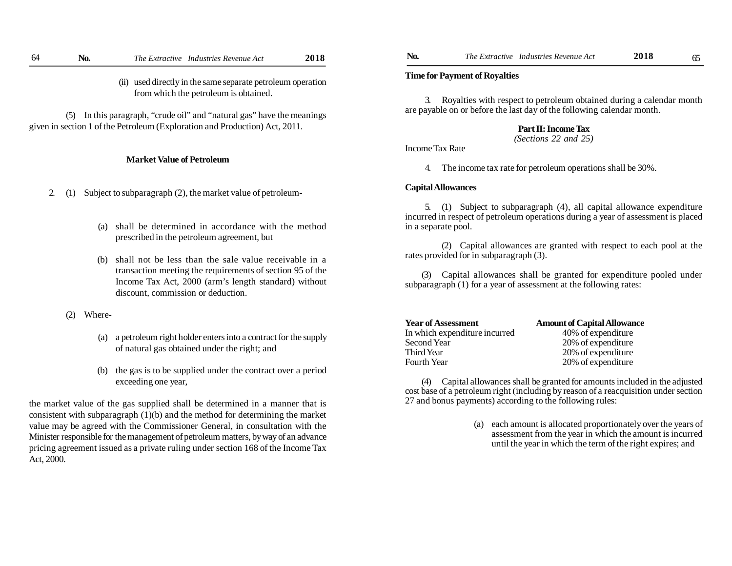used directly in the same separate petroleum operation from which the petroleum is obtained.

(5) In this paragraph, "crude oil" and "natural gas" have the meanings given in section 1 of the Petroleum (Exploration and Production) Act, 2011.

# **Market Value of Petroleum**

2. (1) Subject to subparagraph (2), the market value of petroleum-

- (a) shall be determined in accordance with the method prescribed in the petroleum agreement, but
- (b) shall not be less than the sale value receivable in a transaction meeting the requirements of section 95 of the Income Tax Act, 2000 (arm's length standard) without discount, commission or deduction.
- (2) Where-
	- (a) a petroleum right holder enters into a contract for the supply of natural gas obtained under the right; and
	- (b) the gas is to be supplied under the contract over a period exceeding one year,

the market value of the gas supplied shall be determined in a manner that is consistent with subparagraph (1)(b) and the method for determining the market value may be agreed with the Commissioner General, in consultation with the Minister responsible for the management of petroleum matters, by way of an advance pricing agreement issued as a private ruling under section 168 of the Income Tax Act, 2000.

### **Time for Payment of Royalties**

3. Royalties with respect to petroleum obtained during a calendar month are payable on or before the last day of the following calendar month.

# **Part II: Income Tax**

*(Sections 22 and 25)*

Income Tax Rate

4. The income tax rate for petroleum operations shall be 30%.

# **Capital Allowances**

5. (1) Subject to subparagraph (4), all capital allowance expenditure incurred in respect of petroleum operations during a year of assessment is placed in a separate pool.

(2) Capital allowances are granted with respect to each pool at the rates provided for in subparagraph (3).

(3) Capital allowances shall be granted for expenditure pooled under subparagraph (1) for a year of assessment at the following rates:

| <b>Year of Assessment</b>     | <b>Amount of Capital Allowance</b> |
|-------------------------------|------------------------------------|
| In which expenditure incurred | 40% of expenditure                 |
| Second Year                   | 20% of expenditure                 |
| Third Year                    | 20% of expenditure                 |
| Fourth Year                   | 20% of expenditure                 |

(4) Capital allowances shall be granted for amounts included in the adjusted cost base of a petroleum right (including by reason of a reacquisition under section 27 and bonus payments) according to the following rules:

> (a) each amount is allocated proportionately over the years of assessment from the year in which the amount is incurred until the year in which the term of the right expires; and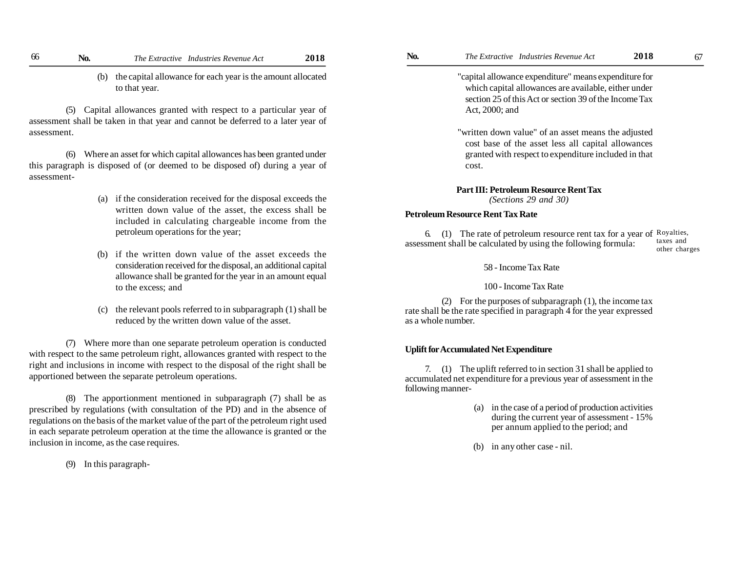(b) the capital allowance for each year is the amount allocated to that year.

(5) Capital allowances granted with respect to a particular year of assessment shall be taken in that year and cannot be deferred to a later year of assessment.

(6) Where an asset for which capital allowances has been granted under this paragraph is disposed of (or deemed to be disposed of) during a year of assessment-

- (a) if the consideration received for the disposal exceeds the written down value of the asset, the excess shall be included in calculating chargeable income from the petroleum operations for the year;
- (b) if the written down value of the asset exceeds the consideration received for the disposal, an additional capital allowance shall be granted for the year in an amount equal to the excess; and
- (c) the relevant pools referred to in subparagraph (1) shall be reduced by the written down value of the asset.

(7) Where more than one separate petroleum operation is conducted with respect to the same petroleum right, allowances granted with respect to the right and inclusions in income with respect to the disposal of the right shall be apportioned between the separate petroleum operations.

(8) The apportionment mentioned in subparagraph (7) shall be as prescribed by regulations (with consultation of the PD) and in the absence of regulations on the basis of the market value of the part of the petroleum right used in each separate petroleum operation at the time the allowance is granted or the inclusion in income, as the case requires.

(9) In this paragraph-

"capital allowance expenditure" means expenditure for which capital allowances are available, either under section 25 of this Act or section 39 of the Income Tax Act, 2000; and

"written down value" of an asset means the adjusted cost base of the asset less all capital allowances granted with respect to expenditure included in that cost.

# **Part III: Petroleum Resource Rent Tax**

*(Sections 29 and 30)*

# **Petroleum Resource Rent Tax Rate**

6. (1) The rate of petroleum resource rent tax for a year of Royalties, assessment shall be calculated by using the following formula: taxes and other charges

58 - Income Tax Rate

100 - Income Tax Rate

(2) For the purposes of subparagraph (1), the income tax rate shall be the rate specified in paragraph 4 for the year expressed as a whole number.

# **Uplift for Accumulated Net Expenditure**

7. (1) The uplift referred to in section 31 shall be applied to accumulated net expenditure for a previous year of assessment in the following manner-

- (a) in the case of a period of production activities during the current year of assessment - 15% per annum applied to the period; and
- (b) in any other case nil.